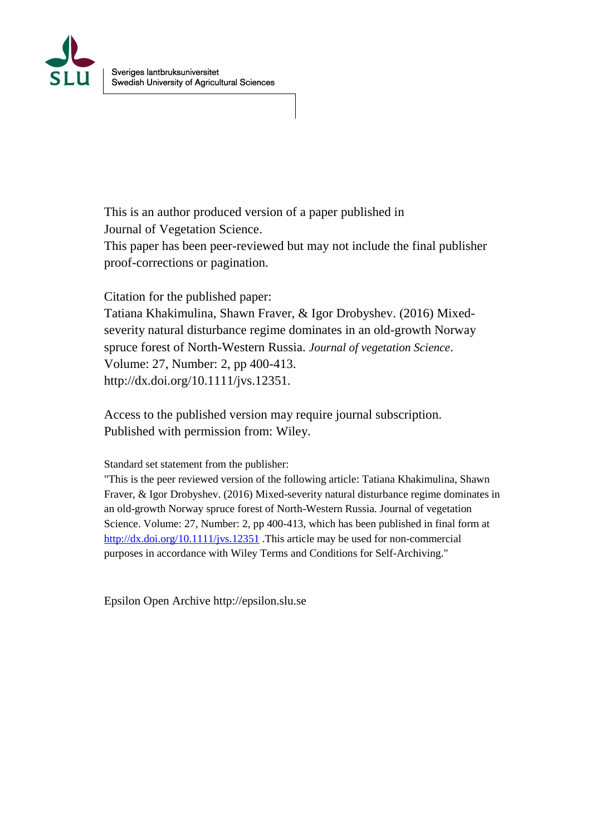

This is an author produced version of a paper published in Journal of Vegetation Science.

This paper has been peer-reviewed but may not include the final publisher proof-corrections or pagination.

Citation for the published paper:

Tatiana Khakimulina, Shawn Fraver, & Igor Drobyshev. (2016) Mixedseverity natural disturbance regime dominates in an old-growth Norway spruce forest of North-Western Russia. *Journal of vegetation Science*. Volume: 27, Number: 2, pp 400-413. http://dx.doi.org/10.1111/jvs.12351.

Access to the published version may require journal subscription. Published with permission from: Wiley.

Standard set statement from the publisher:

"This is the peer reviewed version of the following article: Tatiana Khakimulina, Shawn Fraver, & Igor Drobyshev. (2016) Mixed-severity natural disturbance regime dominates in an old-growth Norway spruce forest of North-Western Russia. Journal of vegetation Science. Volume: 27, Number: 2, pp 400-413, which has been published in final form at <http://dx.doi.org/10.1111/jvs.12351> This article may be used for non-commercial purposes in accordance with Wiley Terms and Conditions for Self-Archiving."

Epsilon Open Archive http://epsilon.slu.se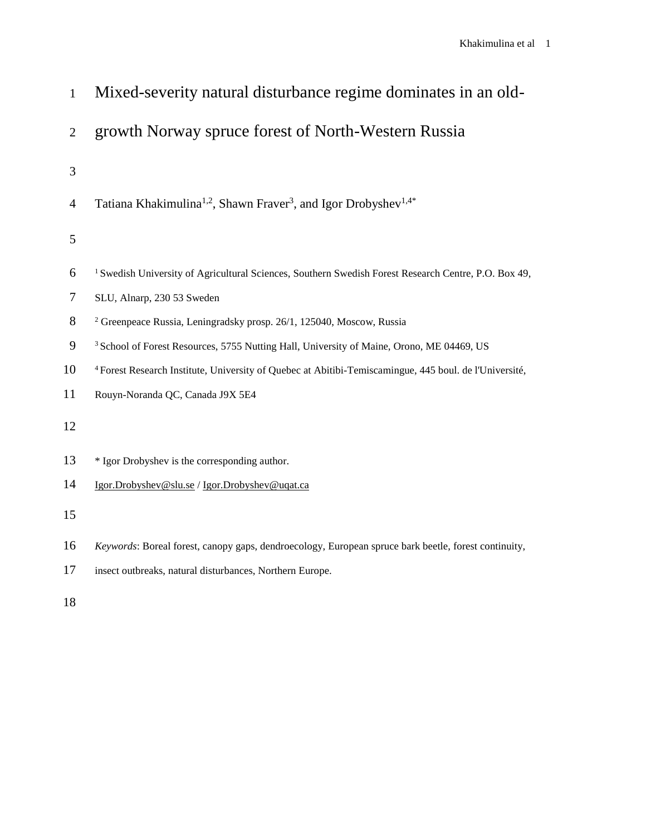| $\mathbf{1}$   | Mixed-severity natural disturbance regime dominates in an old-                                                    |
|----------------|-------------------------------------------------------------------------------------------------------------------|
| $\overline{2}$ | growth Norway spruce forest of North-Western Russia                                                               |
| 3              |                                                                                                                   |
| $\overline{4}$ | Tatiana Khakimulina <sup>1,2</sup> , Shawn Fraver <sup>3</sup> , and Igor Drobyshev <sup>1,4*</sup>               |
| 5              |                                                                                                                   |
| 6              | <sup>1</sup> Swedish University of Agricultural Sciences, Southern Swedish Forest Research Centre, P.O. Box 49,   |
| $\tau$         | SLU, Alnarp, 230 53 Sweden                                                                                        |
| 8              | <sup>2</sup> Greenpeace Russia, Leningradsky prosp. 26/1, 125040, Moscow, Russia                                  |
| 9              | <sup>3</sup> School of Forest Resources, 5755 Nutting Hall, University of Maine, Orono, ME 04469, US              |
| 10             | <sup>4</sup> Forest Research Institute, University of Quebec at Abitibi-Temiscamingue, 445 boul. de l'Université, |
| 11             | Rouyn-Noranda QC, Canada J9X 5E4                                                                                  |
| 12             |                                                                                                                   |
| 13             | * Igor Drobyshev is the corresponding author.                                                                     |
| 14             | Igor.Drobyshev@slu.se / Igor.Drobyshev@uqat.ca                                                                    |
| 15             |                                                                                                                   |
| 16             | Keywords: Boreal forest, canopy gaps, dendroecology, European spruce bark beetle, forest continuity,              |
| 17             | insect outbreaks, natural disturbances, Northern Europe.                                                          |
| 18             |                                                                                                                   |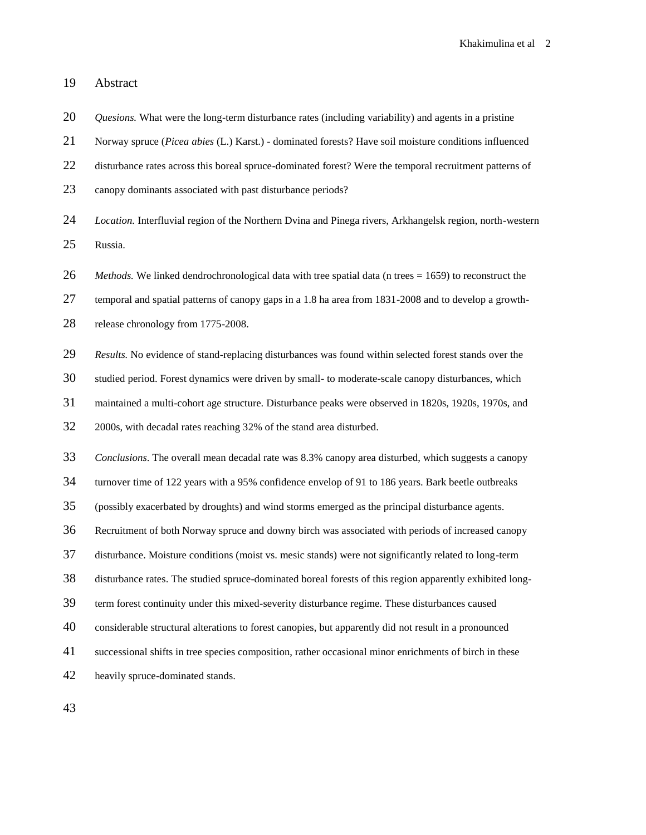Abstract

*Quesions.* What were the long-term disturbance rates (including variability) and agents in a pristine

Norway spruce (*Picea abies* (L.) Karst.) - dominated forests? Have soil moisture conditions influenced

22 disturbance rates across this boreal spruce-dominated forest? Were the temporal recruitment patterns of

canopy dominants associated with past disturbance periods?

 *Location.* Interfluvial region of the Northern Dvina and Pinega rivers, Arkhangelsk region, north-western Russia.

*Methods.* We linked dendrochronological data with tree spatial data (n trees = 1659) to reconstruct the

temporal and spatial patterns of canopy gaps in a 1.8 ha area from 1831-2008 and to develop a growth-

release chronology from 1775-2008.

*Results.* No evidence of stand-replacing disturbances was found within selected forest stands over the

studied period. Forest dynamics were driven by small- to moderate-scale canopy disturbances, which

maintained a multi-cohort age structure. Disturbance peaks were observed in 1820s, 1920s, 1970s, and

2000s, with decadal rates reaching 32% of the stand area disturbed.

*Conclusions*. The overall mean decadal rate was 8.3% canopy area disturbed, which suggests a canopy

turnover time of 122 years with a 95% confidence envelop of 91 to 186 years. Bark beetle outbreaks

(possibly exacerbated by droughts) and wind storms emerged as the principal disturbance agents.

Recruitment of both Norway spruce and downy birch was associated with periods of increased canopy

disturbance. Moisture conditions (moist vs. mesic stands) were not significantly related to long-term

disturbance rates. The studied spruce-dominated boreal forests of this region apparently exhibited long-

term forest continuity under this mixed-severity disturbance regime. These disturbances caused

considerable structural alterations to forest canopies, but apparently did not result in a pronounced

successional shifts in tree species composition, rather occasional minor enrichments of birch in these

heavily spruce-dominated stands.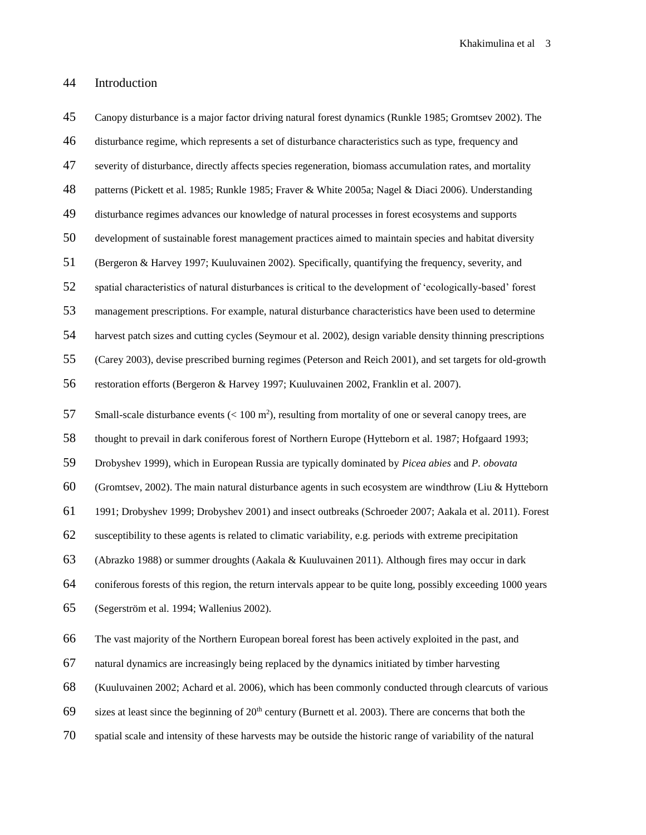# Introduction

| 45 | Canopy disturbance is a major factor driving natural forest dynamics (Runkle 1985; Gromtsev 2002). The                  |
|----|-------------------------------------------------------------------------------------------------------------------------|
| 46 | disturbance regime, which represents a set of disturbance characteristics such as type, frequency and                   |
| 47 | severity of disturbance, directly affects species regeneration, biomass accumulation rates, and mortality               |
| 48 | patterns (Pickett et al. 1985; Runkle 1985; Fraver & White 2005a; Nagel & Diaci 2006). Understanding                    |
| 49 | disturbance regimes advances our knowledge of natural processes in forest ecosystems and supports                       |
| 50 | development of sustainable forest management practices aimed to maintain species and habitat diversity                  |
| 51 | (Bergeron & Harvey 1997; Kuuluvainen 2002). Specifically, quantifying the frequency, severity, and                      |
| 52 | spatial characteristics of natural disturbances is critical to the development of 'ecologically-based' forest           |
| 53 | management prescriptions. For example, natural disturbance characteristics have been used to determine                  |
| 54 | harvest patch sizes and cutting cycles (Seymour et al. 2002), design variable density thinning prescriptions            |
| 55 | (Carey 2003), devise prescribed burning regimes (Peterson and Reich 2001), and set targets for old-growth               |
| 56 | restoration efforts (Bergeron & Harvey 1997; Kuuluvainen 2002, Franklin et al. 2007).                                   |
| 57 | Small-scale disturbance events ( $< 100$ m <sup>2</sup> ), resulting from mortality of one or several canopy trees, are |
| 58 | thought to prevail in dark coniferous forest of Northern Europe (Hytteborn et al. 1987; Hofgaard 1993;                  |
| 59 | Drobyshev 1999), which in European Russia are typically dominated by Picea abies and P. obovata                         |
| 60 | (Gromtsev, 2002). The main natural disturbance agents in such ecosystem are windthrow (Liu & Hytteborn                  |
| 61 | 1991; Drobyshev 1999; Drobyshev 2001) and insect outbreaks (Schroeder 2007; Aakala et al. 2011). Forest                 |
| 62 | susceptibility to these agents is related to climatic variability, e.g. periods with extreme precipitation              |
| 63 | (Abrazko 1988) or summer droughts (Aakala & Kuuluvainen 2011). Although fires may occur in dark                         |
| 64 | coniferous forests of this region, the return intervals appear to be quite long, possibly exceeding 1000 years          |
| 65 | (Segerström et al. 1994; Wallenius 2002).                                                                               |
| 66 | The vast majority of the Northern European boreal forest has been actively exploited in the past, and                   |
| 67 | natural dynamics are increasingly being replaced by the dynamics initiated by timber harvesting                         |
| 68 | (Kuuluvainen 2002; Achard et al. 2006), which has been commonly conducted through clearcuts of various                  |

- 69 sizes at least since the beginning of  $20<sup>th</sup>$  century (Burnett et al. 2003). There are concerns that both the
- spatial scale and intensity of these harvests may be outside the historic range of variability of the natural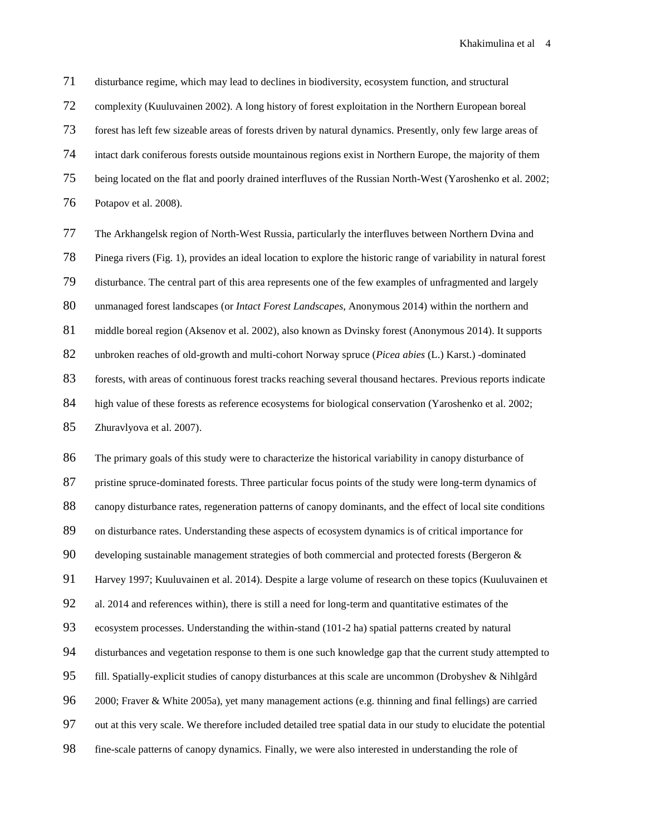disturbance regime, which may lead to declines in biodiversity, ecosystem function, and structural

complexity (Kuuluvainen 2002). A long history of forest exploitation in the Northern European boreal

forest has left few sizeable areas of forests driven by natural dynamics. Presently, only few large areas of

intact dark coniferous forests outside mountainous regions exist in Northern Europe, the majority of them

being located on the flat and poorly drained interfluves of the Russian North-West (Yaroshenko et al. 2002;

Potapov et al. 2008).

 The Arkhangelsk region of North-West Russia, particularly the interfluves between Northern Dvina and Pinega rivers (Fig. 1), provides an ideal location to explore the historic range of variability in natural forest disturbance. The central part of this area represents one of the few examples of unfragmented and largely unmanaged forest landscapes (or *Intact Forest Landscapes*, Anonymous 2014) within the northern and middle boreal region (Aksenov et al. 2002), also known as Dvinsky forest (Anonymous 2014). It supports unbroken reaches of old-growth and multi-cohort Norway spruce (*Picea abies* (L.) Karst.) -dominated forests, with areas of continuous forest tracks reaching several thousand hectares. Previous reports indicate high value of these forests as reference ecosystems for biological conservation (Yaroshenko et al. 2002; Zhuravlyova et al. 2007).

 The primary goals of this study were to characterize the historical variability in canopy disturbance of 87 pristine spruce-dominated forests. Three particular focus points of the study were long-term dynamics of 88 canopy disturbance rates, regeneration patterns of canopy dominants, and the effect of local site conditions on disturbance rates. Understanding these aspects of ecosystem dynamics is of critical importance for 90 developing sustainable management strategies of both commercial and protected forests (Bergeron  $\&$  Harvey 1997; Kuuluvainen et al. 2014). Despite a large volume of research on these topics (Kuuluvainen et al. 2014 and references within), there is still a need for long-term and quantitative estimates of the ecosystem processes. Understanding the within-stand (101-2 ha) spatial patterns created by natural disturbances and vegetation response to them is one such knowledge gap that the current study attempted to fill. Spatially-explicit studies of canopy disturbances at this scale are uncommon (Drobyshev & Nihlgård 2000; Fraver & White 2005a), yet many management actions (e.g. thinning and final fellings) are carried out at this very scale. We therefore included detailed tree spatial data in our study to elucidate the potential fine-scale patterns of canopy dynamics. Finally, we were also interested in understanding the role of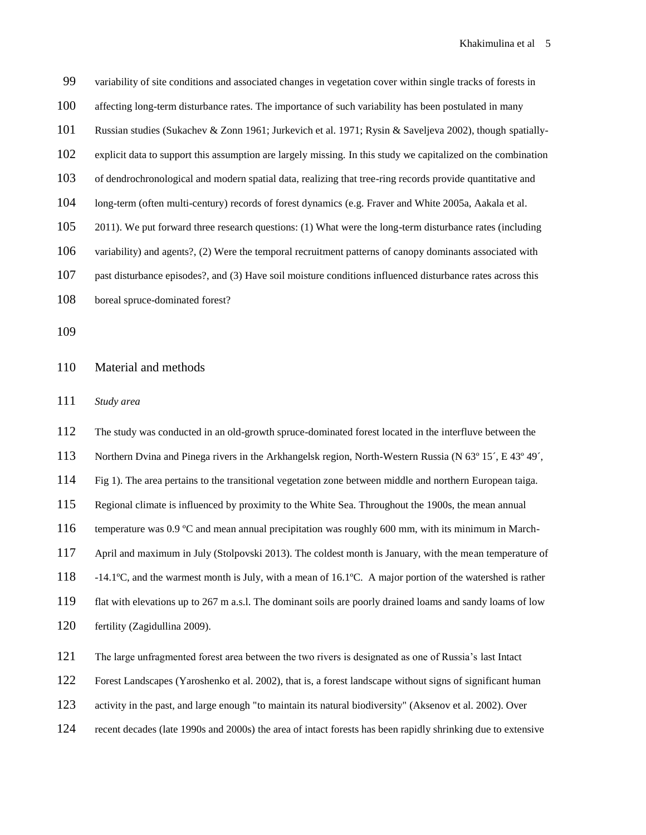variability of site conditions and associated changes in vegetation cover within single tracks of forests in 100 affecting long-term disturbance rates. The importance of such variability has been postulated in many Russian studies (Sukachev & Zonn 1961; Jurkevich et al. 1971; Rysin & Saveljeva 2002), though spatially- explicit data to support this assumption are largely missing. In this study we capitalized on the combination of dendrochronological and modern spatial data, realizing that tree-ring records provide quantitative and long-term (often multi-century) records of forest dynamics (e.g. Fraver and White 2005a, Aakala et al. 2011). We put forward three research questions: (1) What were the long-term disturbance rates (including variability) and agents?, (2) Were the temporal recruitment patterns of canopy dominants associated with past disturbance episodes?, and (3) Have soil moisture conditions influenced disturbance rates across this boreal spruce-dominated forest?

### Material and methods

*Study area*

 The study was conducted in an old-growth spruce-dominated forest located in the interfluve between the Northern Dvina and Pinega rivers in the Arkhangelsk region, North-Western Russia (N 63º 15´, E 43º 49´, Fig 1). The area pertains to the transitional vegetation zone between middle and northern European taiga. Regional climate is influenced by proximity to the White Sea. Throughout the 1900s, the mean annual temperature was 0.9 ºC and mean annual precipitation was roughly 600 mm, with its minimum in March- April and maximum in July (Stolpovski 2013). The coldest month is January, with the mean temperature of -14.1ºC, and the warmest month is July, with a mean of 16.1ºC. A major portion of the watershed is rather flat with elevations up to 267 m a.s.l. The dominant soils are poorly drained loams and sandy loams of low fertility (Zagidullina 2009). The large unfragmented forest area between the two rivers is designated as one of Russia's last Intact

Forest Landscapes (Yaroshenko et al. 2002), that is, a forest landscape without signs of significant human

activity in the past, and large enough "to maintain its natural biodiversity" (Aksenov et al. 2002). Over

124 recent decades (late 1990s and 2000s) the area of intact forests has been rapidly shrinking due to extensive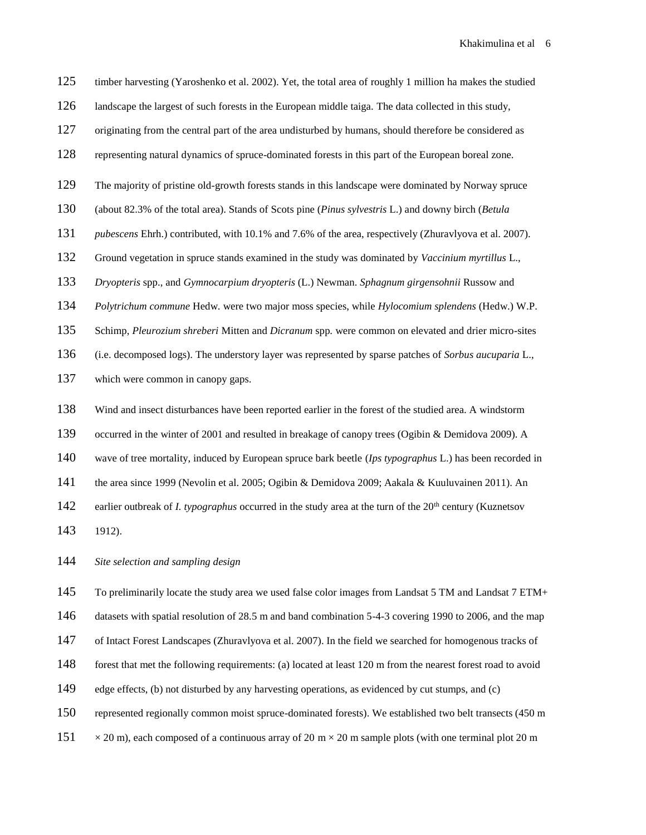Khakimulina et al 6

timber harvesting (Yaroshenko et al. 2002). Yet, the total area of roughly 1 million ha makes the studied

- landscape the largest of such forests in the European middle taiga. The data collected in this study,
- originating from the central part of the area undisturbed by humans, should therefore be considered as
- representing natural dynamics of spruce-dominated forests in this part of the European boreal zone.
- The majority of pristine old-growth forests stands in this landscape were dominated by Norway spruce
- (about 82.3% of the total area). Stands of Scots pine (*Pinus sylvestris* L.) and downy birch (*Betula*
- *pubescens* Ehrh.) contributed, with 10.1% and 7.6% of the area, respectively (Zhuravlyova et al. 2007).
- Ground vegetation in spruce stands examined in the study was dominated by *Vaccinium myrtillus* L.,
- *Dryopteris* spp., and *Gymnocarpium dryopteris* (L.) Newman. *Sphagnum girgensohnii* Russow and
- *Polytrichum commune* Hedw. were two major moss species, while *Hylocomium splendens* (Hedw.) W.P.
- Schimp, *Pleurozium shreberi* Mitten and *Dicranum* spp*.* were common on elevated and drier micro-sites
- (i.e. decomposed logs). The understory layer was represented by sparse patches of *Sorbus aucuparia* L.,
- which were common in canopy gaps.
- Wind and insect disturbances have been reported earlier in the forest of the studied area. A windstorm
- occurred in the winter of 2001 and resulted in breakage of canopy trees (Ogibin & Demidova 2009). A
- wave of tree mortality, induced by European spruce bark beetle (*Ips typographus* L.) has been recorded in
- the area since 1999 (Nevolin et al. 2005; Ogibin & Demidova 2009; Aakala & Kuuluvainen 2011). An
- 142 earlier outbreak of *I. typographus* occurred in the study area at the turn of the 20<sup>th</sup> century (Kuznetsov
- 1912).
- *Site selection and sampling design*
- To preliminarily locate the study area we used false color images from Landsat 5 TM and Landsat 7 ETM+
- datasets with spatial resolution of 28.5 m and band combination 5-4-3 covering 1990 to 2006, and the map
- of Intact Forest Landscapes (Zhuravlyova et al. 2007). In the field we searched for homogenous tracks of
- 148 forest that met the following requirements: (a) located at least 120 m from the nearest forest road to avoid
- edge effects, (b) not disturbed by any harvesting operations, as evidenced by cut stumps, and (c)
- represented regionally common moist spruce-dominated forests). We established two belt transects (450 m
- 151  $\times$  20 m), each composed of a continuous array of 20 m  $\times$  20 m sample plots (with one terminal plot 20 m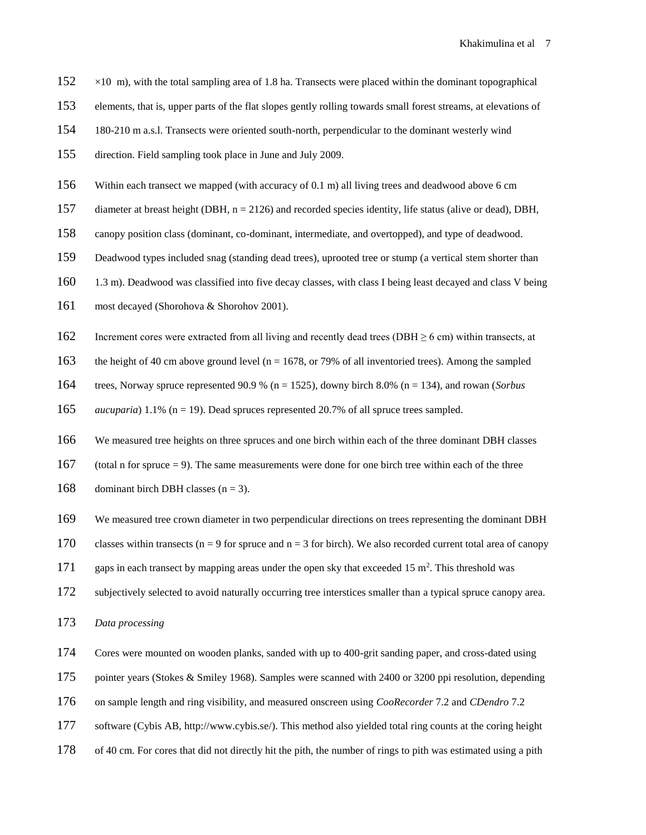- $152 \times 10$  m), with the total sampling area of 1.8 ha. Transects were placed within the dominant topographical
- elements, that is, upper parts of the flat slopes gently rolling towards small forest streams, at elevations of
- 180-210 m a.s.l. Transects were oriented south-north, perpendicular to the dominant westerly wind
- direction. Field sampling took place in June and July 2009.
- Within each transect we mapped (with accuracy of 0.1 m) all living trees and deadwood above 6 cm
- diameter at breast height (DBH, n = 2126) and recorded species identity, life status (alive or dead), DBH,
- canopy position class (dominant, co-dominant, intermediate, and overtopped), and type of deadwood.
- Deadwood types included snag (standing dead trees), uprooted tree or stump (a vertical stem shorter than
- 160 1.3 m). Deadwood was classified into five decay classes, with class I being least decayed and class V being
- most decayed (Shorohova & Shorohov 2001).
- 162 Increment cores were extracted from all living and recently dead trees (DBH  $\geq$  6 cm) within transects, at
- the height of 40 cm above ground level (n = 1678, or 79% of all inventoried trees). Among the sampled
- trees, Norway spruce represented 90.9 % (n = 1525), downy birch 8.0% (n = 134), and rowan (*Sorbus*

*aucuparia*) 1.1% (n = 19). Dead spruces represented 20.7% of all spruce trees sampled.

- We measured tree heights on three spruces and one birch within each of the three dominant DBH classes
- (total n for spruce = 9). The same measurements were done for one birch tree within each of the three
- 168 dominant birch DBH classes  $(n = 3)$ .
- We measured tree crown diameter in two perpendicular directions on trees representing the dominant DBH
- 170 classes within transects ( $n = 9$  for spruce and  $n = 3$  for birch). We also recorded current total area of canopy
- 171 gaps in each transect by mapping areas under the open sky that exceeded 15  $m<sup>2</sup>$ . This threshold was
- 172 subjectively selected to avoid naturally occurring tree interstices smaller than a typical spruce canopy area.
- *Data processing*
- Cores were mounted on wooden planks, sanded with up to 400-grit sanding paper, and cross-dated using
- pointer years (Stokes & Smiley 1968). Samples were scanned with 2400 or 3200 ppi resolution, depending
- on sample length and ring visibility, and measured onscreen using *CooRecorder* 7.2 and *CDendro* 7.2
- software (Cybis AB, [http://www.cybis.se/\)](http://www.cybis.se/). This method also yielded total ring counts at the coring height
- of 40 cm. For cores that did not directly hit the pith, the number of rings to pith was estimated using a pith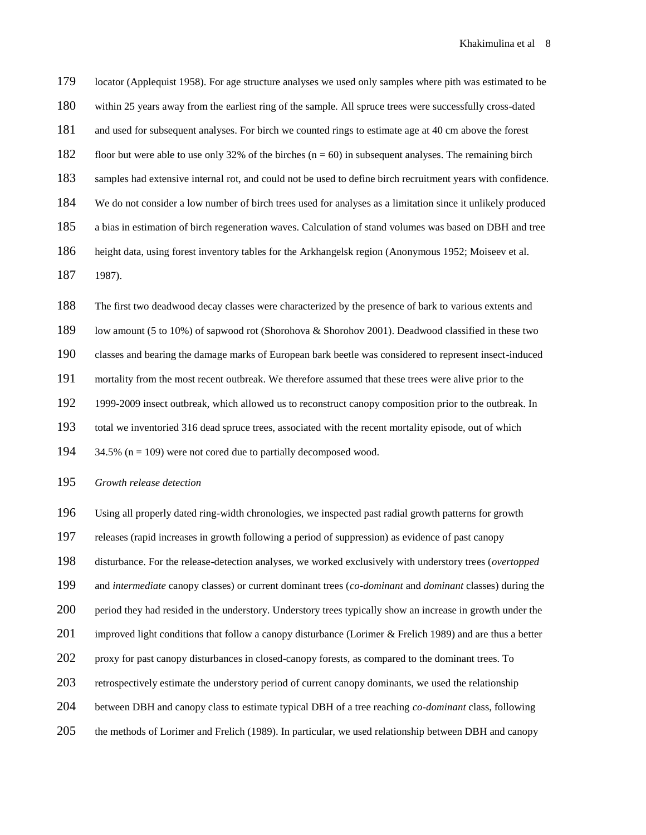locator (Applequist 1958). For age structure analyses we used only samples where pith was estimated to be within 25 years away from the earliest ring of the sample. All spruce trees were successfully cross-dated and used for subsequent analyses. For birch we counted rings to estimate age at 40 cm above the forest 182 floor but were able to use only 32% of the birches ( $n = 60$ ) in subsequent analyses. The remaining birch samples had extensive internal rot, and could not be used to define birch recruitment years with confidence. We do not consider a low number of birch trees used for analyses as a limitation since it unlikely produced a bias in estimation of birch regeneration waves. Calculation of stand volumes was based on DBH and tree height data, using forest inventory tables for the Arkhangelsk region (Anonymous 1952; Moiseev et al. 1987).

 The first two deadwood decay classes were characterized by the presence of bark to various extents and low amount (5 to 10%) of sapwood rot (Shorohova & Shorohov 2001). Deadwood classified in these two classes and bearing the damage marks of European bark beetle was considered to represent insect-induced mortality from the most recent outbreak. We therefore assumed that these trees were alive prior to the 1999-2009 insect outbreak, which allowed us to reconstruct canopy composition prior to the outbreak. In total we inventoried 316 dead spruce trees, associated with the recent mortality episode, out of which  $34.5\%$  (n = 109) were not cored due to partially decomposed wood.

*Growth release detection*

 Using all properly dated ring-width chronologies, we inspected past radial growth patterns for growth releases (rapid increases in growth following a period of suppression) as evidence of past canopy disturbance. For the release-detection analyses, we worked exclusively with understory trees (*overtopped* and *intermediate* canopy classes) or current dominant trees (*co-dominant* and *dominant* classes) during the period they had resided in the understory. Understory trees typically show an increase in growth under the improved light conditions that follow a canopy disturbance (Lorimer & Frelich 1989) and are thus a better proxy for past canopy disturbances in closed-canopy forests, as compared to the dominant trees. To retrospectively estimate the understory period of current canopy dominants, we used the relationship between DBH and canopy class to estimate typical DBH of a tree reaching *co-dominant* class, following 205 the methods of Lorimer and Frelich (1989). In particular, we used relationship between DBH and canopy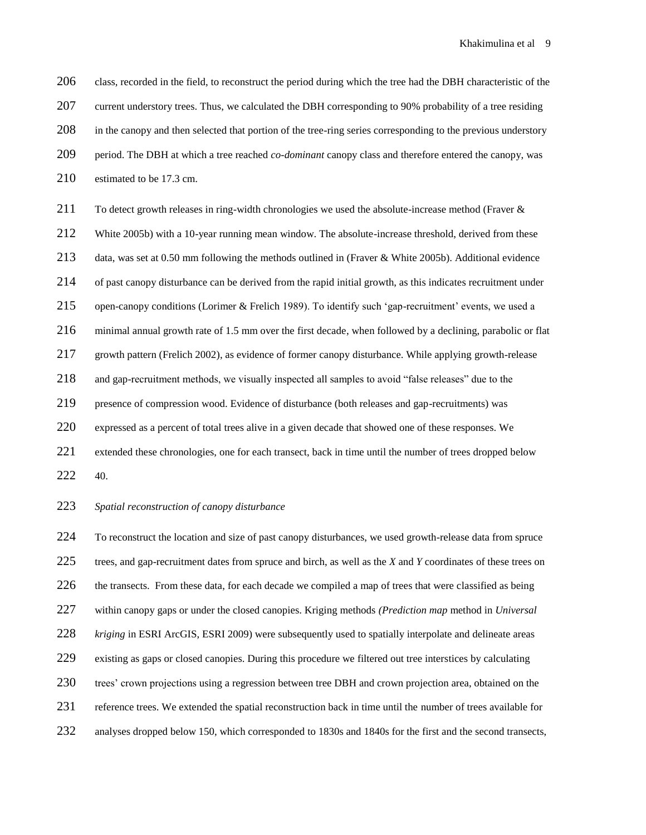Khakimulina et al 9

206 class, recorded in the field, to reconstruct the period during which the tree had the DBH characteristic of the 207 current understory trees. Thus, we calculated the DBH corresponding to 90% probability of a tree residing 208 in the canopy and then selected that portion of the tree-ring series corresponding to the previous understory period. The DBH at which a tree reached *co-dominant* canopy class and therefore entered the canopy, was estimated to be 17.3 cm.

 To detect growth releases in ring-width chronologies we used the absolute-increase method (Fraver & White 2005b) with a 10-year running mean window. The absolute-increase threshold, derived from these 213 data, was set at 0.50 mm following the methods outlined in (Fraver & White 2005b). Additional evidence of past canopy disturbance can be derived from the rapid initial growth, as this indicates recruitment under open-canopy conditions (Lorimer & Frelich 1989). To identify such 'gap-recruitment' events, we used a minimal annual growth rate of 1.5 mm over the first decade, when followed by a declining, parabolic or flat growth pattern (Frelich 2002), as evidence of former canopy disturbance. While applying growth-release and gap-recruitment methods, we visually inspected all samples to avoid "false releases" due to the presence of compression wood. Evidence of disturbance (both releases and gap-recruitments) was expressed as a percent of total trees alive in a given decade that showed one of these responses. We extended these chronologies, one for each transect, back in time until the number of trees dropped below 40.

## *Spatial reconstruction of canopy disturbance*

 To reconstruct the location and size of past canopy disturbances, we used growth-release data from spruce trees, and gap-recruitment dates from spruce and birch, as well as the *X* and *Y* coordinates of these trees on 226 the transects. From these data, for each decade we compiled a map of trees that were classified as being within canopy gaps or under the closed canopies. Kriging methods *(Prediction map* method in *Universal kriging* in ESRI ArcGIS, ESRI 2009) were subsequently used to spatially interpolate and delineate areas existing as gaps or closed canopies. During this procedure we filtered out tree interstices by calculating trees' crown projections using a regression between tree DBH and crown projection area, obtained on the reference trees. We extended the spatial reconstruction back in time until the number of trees available for analyses dropped below 150, which corresponded to 1830s and 1840s for the first and the second transects,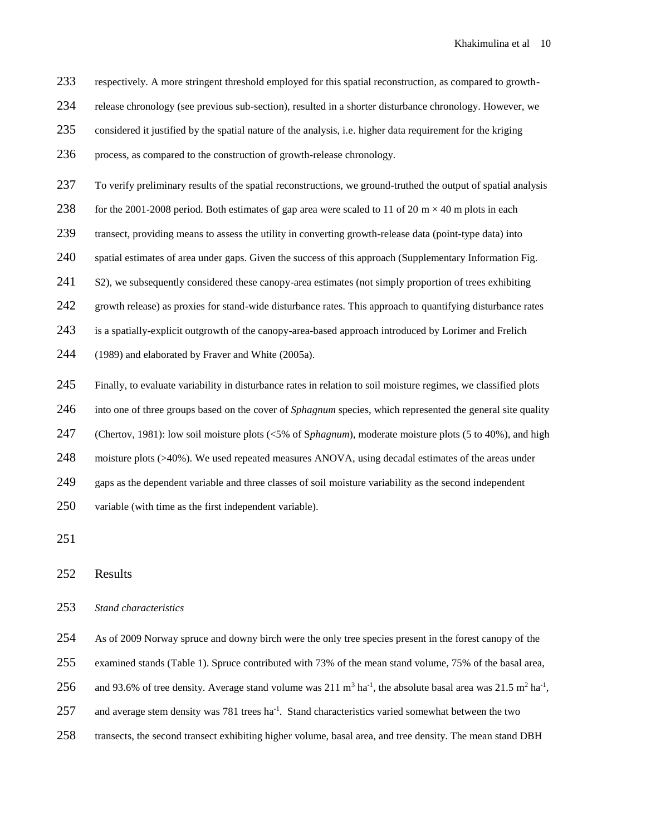respectively. A more stringent threshold employed for this spatial reconstruction, as compared to growth-

- release chronology (see previous sub-section), resulted in a shorter disturbance chronology. However, we
- considered it justified by the spatial nature of the analysis, i.e. higher data requirement for the kriging
- process, as compared to the construction of growth-release chronology.
- To verify preliminary results of the spatial reconstructions, we ground-truthed the output of spatial analysis
- 238 for the 2001-2008 period. Both estimates of gap area were scaled to 11 of 20 m  $\times$  40 m plots in each
- transect, providing means to assess the utility in converting growth-release data (point-type data) into
- spatial estimates of area under gaps. Given the success of this approach (Supplementary Information Fig.
- 241 S2), we subsequently considered these canopy-area estimates (not simply proportion of trees exhibiting
- 242 growth release) as proxies for stand-wide disturbance rates. This approach to quantifying disturbance rates
- is a spatially-explicit outgrowth of the canopy-area-based approach introduced by Lorimer and Frelich
- (1989) and elaborated by Fraver and White (2005a).
- Finally, to evaluate variability in disturbance rates in relation to soil moisture regimes, we classified plots
- into one of three groups based on the cover of *Sphagnum* species, which represented the general site quality
- (Chertov, 1981): low soil moisture plots (<5% of S*phagnum*), moderate moisture plots (5 to 40%), and high
- moisture plots (>40%). We used repeated measures ANOVA, using decadal estimates of the areas under
- gaps as the dependent variable and three classes of soil moisture variability as the second independent
- variable (with time as the first independent variable).
- 

### Results

#### *Stand characteristics*

As of 2009 Norway spruce and downy birch were the only tree species present in the forest canopy of the

- examined stands (Table 1). Spruce contributed with 73% of the mean stand volume, 75% of the basal area,
- 256 and 93.6% of tree density. Average stand volume was 211 m<sup>3</sup> ha<sup>-1</sup>, the absolute basal area was 21.5 m<sup>2</sup> ha<sup>-1</sup>,
- 257 and average stem density was 781 trees ha<sup>-1</sup>. Stand characteristics varied somewhat between the two
- transects, the second transect exhibiting higher volume, basal area, and tree density. The mean stand DBH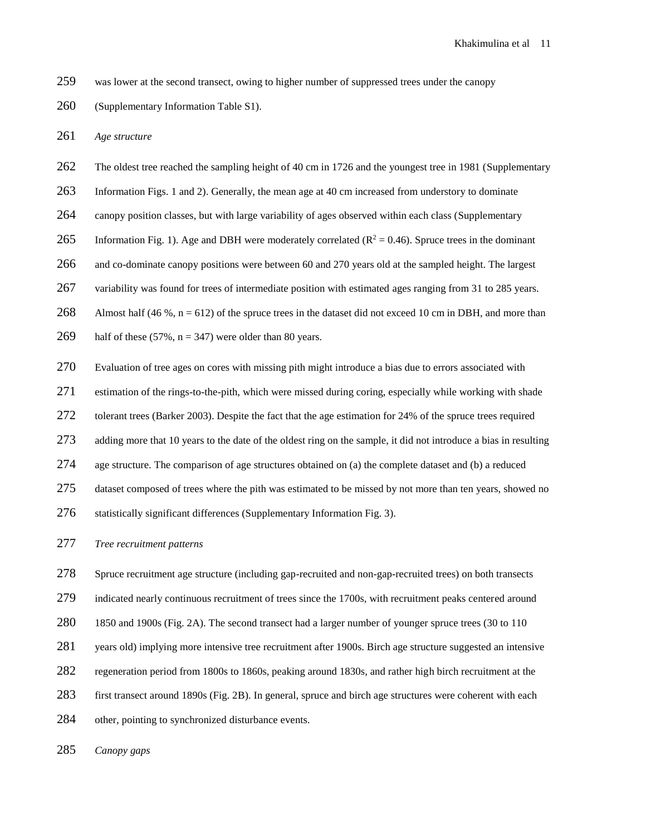was lower at the second transect, owing to higher number of suppressed trees under the canopy

(Supplementary Information Table S1).

*Age structure*

The oldest tree reached the sampling height of 40 cm in 1726 and the youngest tree in 1981 (Supplementary

Information Figs. 1 and 2). Generally, the mean age at 40 cm increased from understory to dominate

canopy position classes, but with large variability of ages observed within each class (Supplementary

265 Information Fig. 1). Age and DBH were moderately correlated ( $R^2 = 0.46$ ). Spruce trees in the dominant

and co-dominate canopy positions were between 60 and 270 years old at the sampled height. The largest

267 variability was found for trees of intermediate position with estimated ages ranging from 31 to 285 years.

268 Almost half (46 %,  $n = 612$ ) of the spruce trees in the dataset did not exceed 10 cm in DBH, and more than

269 half of these (57%,  $n = 347$ ) were older than 80 years.

270 Evaluation of tree ages on cores with missing pith might introduce a bias due to errors associated with

estimation of the rings-to-the-pith, which were missed during coring, especially while working with shade

tolerant trees (Barker 2003). Despite the fact that the age estimation for 24% of the spruce trees required

273 adding more that 10 years to the date of the oldest ring on the sample, it did not introduce a bias in resulting

274 age structure. The comparison of age structures obtained on (a) the complete dataset and (b) a reduced

275 dataset composed of trees where the pith was estimated to be missed by not more than ten years, showed no

statistically significant differences (Supplementary Information Fig. 3).

*Tree recruitment patterns*

Spruce recruitment age structure (including gap-recruited and non-gap-recruited trees) on both transects

indicated nearly continuous recruitment of trees since the 1700s, with recruitment peaks centered around

1850 and 1900s (Fig. 2A). The second transect had a larger number of younger spruce trees (30 to 110

years old) implying more intensive tree recruitment after 1900s. Birch age structure suggested an intensive

regeneration period from 1800s to 1860s, peaking around 1830s, and rather high birch recruitment at the

first transect around 1890s (Fig. 2B). In general, spruce and birch age structures were coherent with each

other, pointing to synchronized disturbance events.

*Canopy gaps*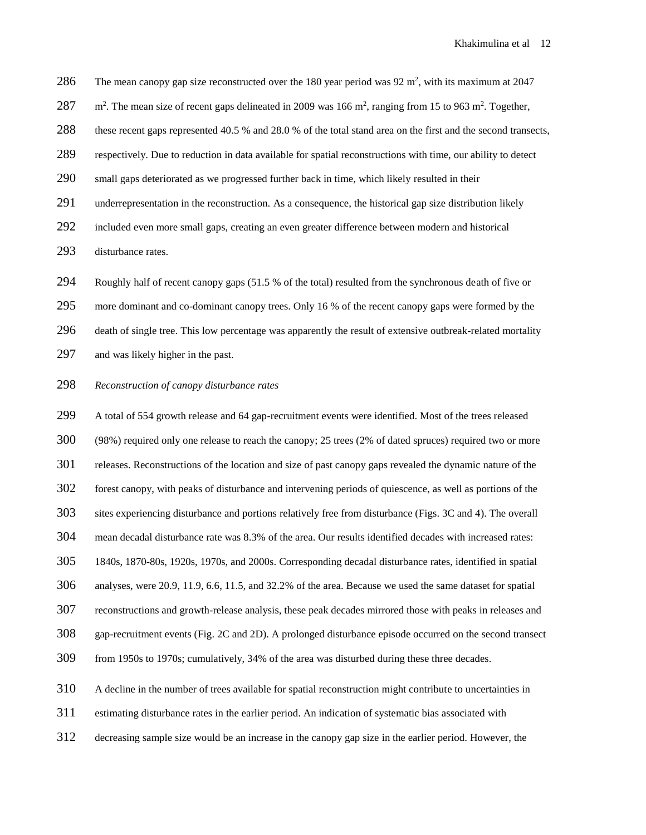286 The mean canopy gap size reconstructed over the 180 year period was 92 m<sup>2</sup>, with its maximum at 2047  $287 \text{ m}^2$ . The mean size of recent gaps delineated in 2009 was 166 m<sup>2</sup>, ranging from 15 to 963 m<sup>2</sup>. Together, 288 these recent gaps represented 40.5 % and 28.0 % of the total stand area on the first and the second transects, respectively. Due to reduction in data available for spatial reconstructions with time, our ability to detect small gaps deteriorated as we progressed further back in time, which likely resulted in their underrepresentation in the reconstruction. As a consequence, the historical gap size distribution likely included even more small gaps, creating an even greater difference between modern and historical disturbance rates.

 Roughly half of recent canopy gaps (51.5 % of the total) resulted from the synchronous death of five or more dominant and co-dominant canopy trees. Only 16 % of the recent canopy gaps were formed by the 296 death of single tree. This low percentage was apparently the result of extensive outbreak-related mortality and was likely higher in the past.

### *Reconstruction of canopy disturbance rates*

 A total of 554 growth release and 64 gap-recruitment events were identified. Most of the trees released (98%) required only one release to reach the canopy; 25 trees (2% of dated spruces) required two or more releases. Reconstructions of the location and size of past canopy gaps revealed the dynamic nature of the forest canopy, with peaks of disturbance and intervening periods of quiescence, as well as portions of the sites experiencing disturbance and portions relatively free from disturbance (Figs. 3C and 4). The overall mean decadal disturbance rate was 8.3% of the area. Our results identified decades with increased rates: 1840s, 1870-80s, 1920s, 1970s, and 2000s. Corresponding decadal disturbance rates, identified in spatial analyses, were 20.9, 11.9, 6.6, 11.5, and 32.2% of the area. Because we used the same dataset for spatial reconstructions and growth-release analysis, these peak decades mirrored those with peaks in releases and gap-recruitment events (Fig. 2C and 2D). A prolonged disturbance episode occurred on the second transect from 1950s to 1970s; cumulatively, 34% of the area was disturbed during these three decades. A decline in the number of trees available for spatial reconstruction might contribute to uncertainties in

estimating disturbance rates in the earlier period. An indication of systematic bias associated with

decreasing sample size would be an increase in the canopy gap size in the earlier period. However, the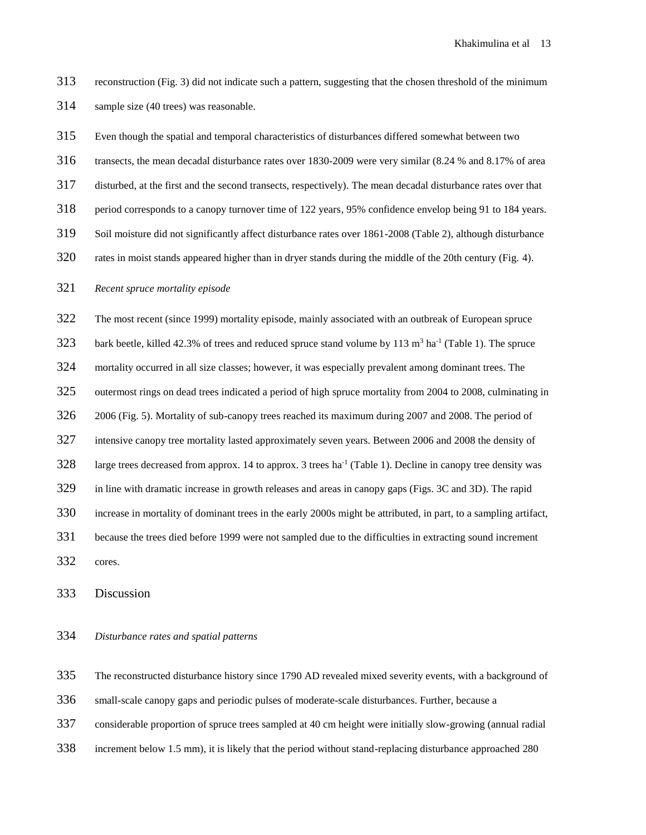reconstruction (Fig. 3) did not indicate such a pattern, suggesting that the chosen threshold of the minimum sample size (40 trees) was reasonable.

 Even though the spatial and temporal characteristics of disturbances differed somewhat between two transects, the mean decadal disturbance rates over 1830-2009 were very similar (8.24 % and 8.17% of area disturbed, at the first and the second transects, respectively). The mean decadal disturbance rates over that period corresponds to a canopy turnover time of 122 years, 95% confidence envelop being 91 to 184 years. Soil moisture did not significantly affect disturbance rates over 1861-2008 (Table 2), although disturbance

rates in moist stands appeared higher than in dryer stands during the middle of the 20th century (Fig. 4).

*Recent spruce mortality episode*

 The most recent (since 1999) mortality episode, mainly associated with an outbreak of European spruce 323 bark beetle, killed 42.3% of trees and reduced spruce stand volume by 113  $m<sup>3</sup>$  ha<sup>-1</sup> (Table 1). The spruce mortality occurred in all size classes; however, it was especially prevalent among dominant trees. The outermost rings on dead trees indicated a period of high spruce mortality from 2004 to 2008, culminating in 2006 (Fig. 5). Mortality of sub-canopy trees reached its maximum during 2007 and 2008. The period of intensive canopy tree mortality lasted approximately seven years. Between 2006 and 2008 the density of 328 large trees decreased from approx. 14 to approx. 3 trees ha<sup>-1</sup> (Table 1). Decline in canopy tree density was in line with dramatic increase in growth releases and areas in canopy gaps (Figs. 3C and 3D). The rapid increase in mortality of dominant trees in the early 2000s might be attributed, in part, to a sampling artifact,

because the trees died before 1999 were not sampled due to the difficulties in extracting sound increment

cores.

Discussion

### *Disturbance rates and spatial patterns*

The reconstructed disturbance history since 1790 AD revealed mixed severity events, with a background of

small-scale canopy gaps and periodic pulses of moderate-scale disturbances. Further, because a

considerable proportion of spruce trees sampled at 40 cm height were initially slow-growing (annual radial

increment below 1.5 mm), it is likely that the period without stand-replacing disturbance approached 280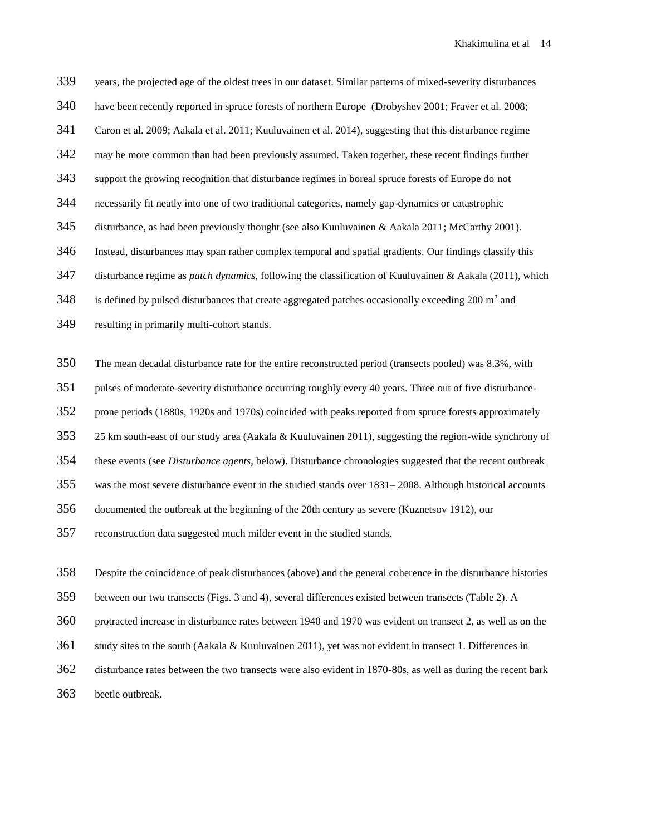years, the projected age of the oldest trees in our dataset. Similar patterns of mixed-severity disturbances have been recently reported in spruce forests of northern Europe (Drobyshev 2001; Fraver et al. 2008; Caron et al. 2009; Aakala et al. 2011; Kuuluvainen et al. 2014), suggesting that this disturbance regime may be more common than had been previously assumed. Taken together, these recent findings further support the growing recognition that disturbance regimes in boreal spruce forests of Europe do not necessarily fit neatly into one of two traditional categories, namely gap-dynamics or catastrophic disturbance, as had been previously thought (see also Kuuluvainen & Aakala 2011; McCarthy 2001). Instead, disturbances may span rather complex temporal and spatial gradients. Our findings classify this disturbance regime as *patch dynamics*, following the classification of Kuuluvainen & Aakala (2011), which 348 is defined by pulsed disturbances that create aggregated patches occasionally exceeding 200  $\text{m}^2$  and resulting in primarily multi-cohort stands.

The mean decadal disturbance rate for the entire reconstructed period (transects pooled) was 8.3%, with

pulses of moderate-severity disturbance occurring roughly every 40 years. Three out of five disturbance-

prone periods (1880s, 1920s and 1970s) coincided with peaks reported from spruce forests approximately

25 km south-east of our study area (Aakala & Kuuluvainen 2011), suggesting the region-wide synchrony of

these events (see *Disturbance agents*, below). Disturbance chronologies suggested that the recent outbreak

was the most severe disturbance event in the studied stands over 1831– 2008. Although historical accounts

documented the outbreak at the beginning of the 20th century as severe (Kuznetsov 1912), our

reconstruction data suggested much milder event in the studied stands.

Despite the coincidence of peak disturbances (above) and the general coherence in the disturbance histories

between our two transects (Figs. 3 and 4), several differences existed between transects (Table 2). A

protracted increase in disturbance rates between 1940 and 1970 was evident on transect 2, as well as on the

study sites to the south (Aakala & Kuuluvainen 2011), yet was not evident in transect 1. Differences in

disturbance rates between the two transects were also evident in 1870-80s, as well as during the recent bark

beetle outbreak.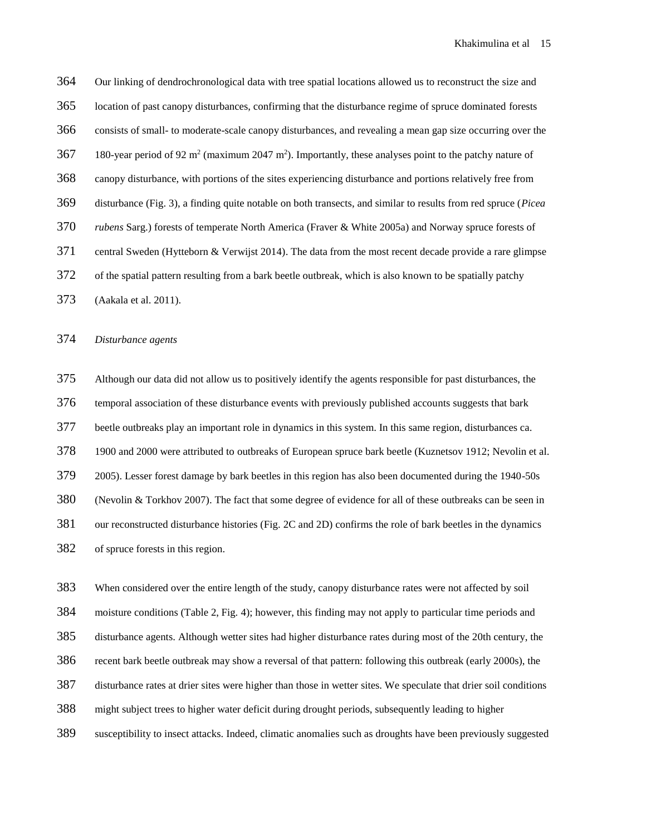Our linking of dendrochronological data with tree spatial locations allowed us to reconstruct the size and location of past canopy disturbances, confirming that the disturbance regime of spruce dominated forests consists of small- to moderate-scale canopy disturbances, and revealing a mean gap size occurring over the 180-year period of 92 m<sup>2</sup> (maximum 2047 m<sup>2</sup>). Importantly, these analyses point to the patchy nature of canopy disturbance, with portions of the sites experiencing disturbance and portions relatively free from disturbance (Fig. 3), a finding quite notable on both transects, and similar to results from red spruce (*Picea rubens* Sarg.) forests of temperate North America (Fraver & White 2005a) and Norway spruce forests of central Sweden (Hytteborn & Verwijst 2014). The data from the most recent decade provide a rare glimpse of the spatial pattern resulting from a bark beetle outbreak, which is also known to be spatially patchy (Aakala et al. 2011).

### *Disturbance agents*

 Although our data did not allow us to positively identify the agents responsible for past disturbances, the temporal association of these disturbance events with previously published accounts suggests that bark beetle outbreaks play an important role in dynamics in this system. In this same region, disturbances ca. 1900 and 2000 were attributed to outbreaks of European spruce bark beetle (Kuznetsov 1912; Nevolin et al. 2005). Lesser forest damage by bark beetles in this region has also been documented during the 1940-50s (Nevolin & Torkhov 2007). The fact that some degree of evidence for all of these outbreaks can be seen in our reconstructed disturbance histories (Fig. 2C and 2D) confirms the role of bark beetles in the dynamics of spruce forests in this region.

 When considered over the entire length of the study, canopy disturbance rates were not affected by soil moisture conditions (Table 2, Fig. 4); however, this finding may not apply to particular time periods and disturbance agents. Although wetter sites had higher disturbance rates during most of the 20th century, the recent bark beetle outbreak may show a reversal of that pattern: following this outbreak (early 2000s), the disturbance rates at drier sites were higher than those in wetter sites. We speculate that drier soil conditions might subject trees to higher water deficit during drought periods, subsequently leading to higher susceptibility to insect attacks. Indeed, climatic anomalies such as droughts have been previously suggested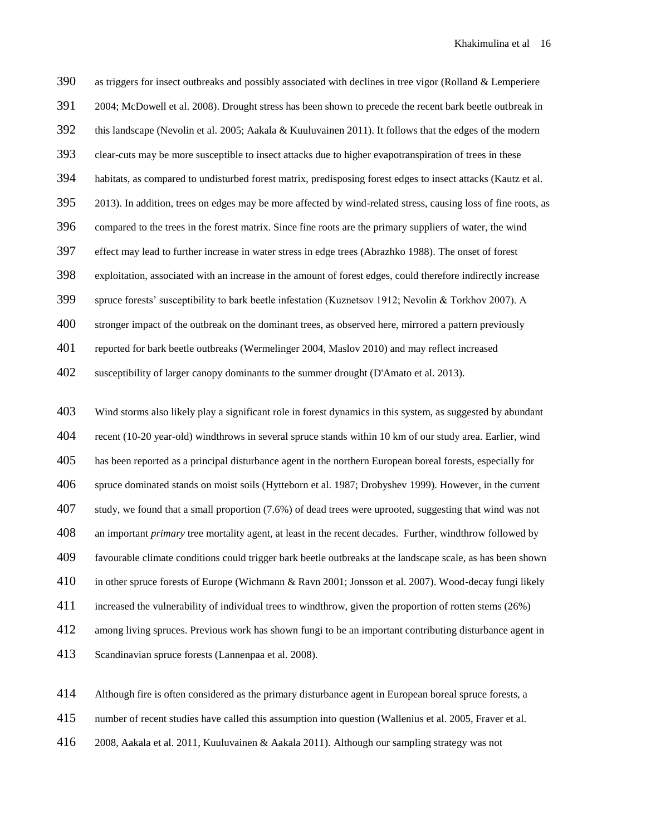as triggers for insect outbreaks and possibly associated with declines in tree vigor (Rolland & Lemperiere 2004; McDowell et al. 2008). Drought stress has been shown to precede the recent bark beetle outbreak in this landscape (Nevolin et al. 2005; Aakala & Kuuluvainen 2011). It follows that the edges of the modern clear-cuts may be more susceptible to insect attacks due to higher evapotranspiration of trees in these habitats, as compared to undisturbed forest matrix, predisposing forest edges to insect attacks (Kautz et al. 2013). In addition, trees on edges may be more affected by wind-related stress, causing loss of fine roots, as compared to the trees in the forest matrix. Since fine roots are the primary suppliers of water, the wind effect may lead to further increase in water stress in edge trees (Abrazhko 1988). The onset of forest exploitation, associated with an increase in the amount of forest edges, could therefore indirectly increase spruce forests' susceptibility to bark beetle infestation (Kuznetsov 1912; Nevolin & Torkhov 2007). A 400 stronger impact of the outbreak on the dominant trees, as observed here, mirrored a pattern previously reported for bark beetle outbreaks (Wermelinger 2004, Maslov 2010) and may reflect increased susceptibility of larger canopy dominants to the summer drought (D'Amato et al. 2013).

 Wind storms also likely play a significant role in forest dynamics in this system, as suggested by abundant recent (10-20 year-old) windthrows in several spruce stands within 10 km of our study area. Earlier, wind has been reported as a principal disturbance agent in the northern European boreal forests, especially for spruce dominated stands on moist soils (Hytteborn et al. 1987; Drobyshev 1999). However, in the current study, we found that a small proportion (7.6%) of dead trees were uprooted, suggesting that wind was not an important *primary* tree mortality agent, at least in the recent decades. Further, windthrow followed by favourable climate conditions could trigger bark beetle outbreaks at the landscape scale, as has been shown in other spruce forests of Europe (Wichmann & Ravn 2001; Jonsson et al. 2007). Wood-decay fungi likely increased the vulnerability of individual trees to windthrow, given the proportion of rotten stems (26%) among living spruces. Previous work has shown fungi to be an important contributing disturbance agent in Scandinavian spruce forests (Lannenpaa et al. 2008).

Although fire is often considered as the primary disturbance agent in European boreal spruce forests, a

number of recent studies have called this assumption into question (Wallenius et al. 2005, Fraver et al.

2008, Aakala et al. 2011, Kuuluvainen & Aakala 2011). Although our sampling strategy was not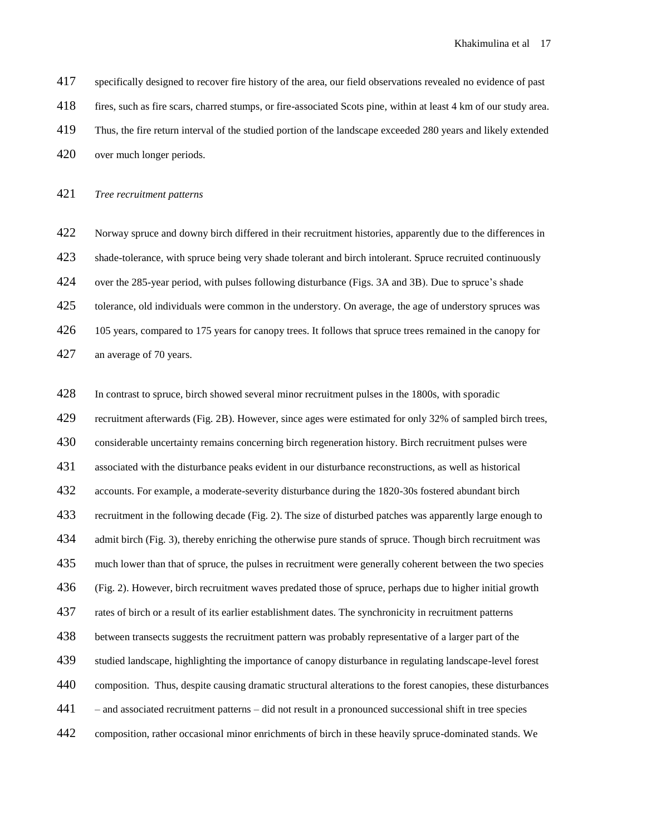specifically designed to recover fire history of the area, our field observations revealed no evidence of past fires, such as fire scars, charred stumps, or fire-associated Scots pine, within at least 4 km of our study area. Thus, the fire return interval of the studied portion of the landscape exceeded 280 years and likely extended over much longer periods.

### *Tree recruitment patterns*

 Norway spruce and downy birch differed in their recruitment histories, apparently due to the differences in 423 shade-tolerance, with spruce being very shade tolerant and birch intolerant. Spruce recruited continuously over the 285-year period, with pulses following disturbance (Figs. 3A and 3B). Due to spruce's shade 425 tolerance, old individuals were common in the understory. On average, the age of understory spruces was 426 105 years, compared to 175 years for canopy trees. It follows that spruce trees remained in the canopy for an average of 70 years.

In contrast to spruce, birch showed several minor recruitment pulses in the 1800s, with sporadic

recruitment afterwards (Fig. 2B). However, since ages were estimated for only 32% of sampled birch trees,

considerable uncertainty remains concerning birch regeneration history. Birch recruitment pulses were

associated with the disturbance peaks evident in our disturbance reconstructions, as well as historical

accounts. For example, a moderate-severity disturbance during the 1820-30s fostered abundant birch

recruitment in the following decade (Fig. 2). The size of disturbed patches was apparently large enough to

admit birch (Fig. 3), thereby enriching the otherwise pure stands of spruce. Though birch recruitment was

much lower than that of spruce, the pulses in recruitment were generally coherent between the two species

(Fig. 2). However, birch recruitment waves predated those of spruce, perhaps due to higher initial growth

rates of birch or a result of its earlier establishment dates. The synchronicity in recruitment patterns

between transects suggests the recruitment pattern was probably representative of a larger part of the

studied landscape, highlighting the importance of canopy disturbance in regulating landscape-level forest

composition. Thus, despite causing dramatic structural alterations to the forest canopies, these disturbances

– and associated recruitment patterns – did not result in a pronounced successional shift in tree species

composition, rather occasional minor enrichments of birch in these heavily spruce-dominated stands. We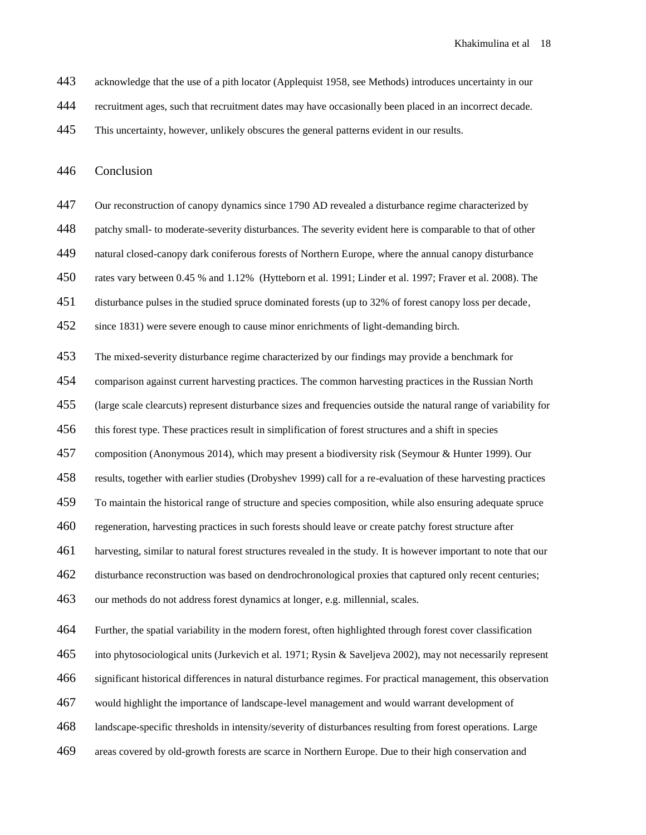- acknowledge that the use of a pith locator (Applequist 1958, see Methods) introduces uncertainty in our
- recruitment ages, such that recruitment dates may have occasionally been placed in an incorrect decade.
- This uncertainty, however, unlikely obscures the general patterns evident in our results.

Conclusion

- Our reconstruction of canopy dynamics since 1790 AD revealed a disturbance regime characterized by
- patchy small- to moderate-severity disturbances. The severity evident here is comparable to that of other
- natural closed-canopy dark coniferous forests of Northern Europe, where the annual canopy disturbance
- rates vary between 0.45 % and 1.12% (Hytteborn et al. 1991; Linder et al. 1997; Fraver et al. 2008). The
- disturbance pulses in the studied spruce dominated forests (up to 32% of forest canopy loss per decade,
- since 1831) were severe enough to cause minor enrichments of light-demanding birch.
- The mixed-severity disturbance regime characterized by our findings may provide a benchmark for
- comparison against current harvesting practices. The common harvesting practices in the Russian North
- (large scale clearcuts) represent disturbance sizes and frequencies outside the natural range of variability for
- this forest type. These practices result in simplification of forest structures and a shift in species
- composition (Anonymous 2014), which may present a biodiversity risk (Seymour & Hunter 1999). Our
- results, together with earlier studies (Drobyshev 1999) call for a re-evaluation of these harvesting practices
- To maintain the historical range of structure and species composition, while also ensuring adequate spruce
- regeneration, harvesting practices in such forests should leave or create patchy forest structure after
- harvesting, similar to natural forest structures revealed in the study. It is however important to note that our
- disturbance reconstruction was based on dendrochronological proxies that captured only recent centuries;
- our methods do not address forest dynamics at longer, e.g. millennial, scales.
- Further, the spatial variability in the modern forest, often highlighted through forest cover classification
- into phytosociological units (Jurkevich et al. 1971; Rysin & Saveljeva 2002), may not necessarily represent
- significant historical differences in natural disturbance regimes. For practical management, this observation
- would highlight the importance of landscape-level management and would warrant development of
- landscape-specific thresholds in intensity/severity of disturbances resulting from forest operations. Large
- areas covered by old-growth forests are scarce in Northern Europe. Due to their high conservation and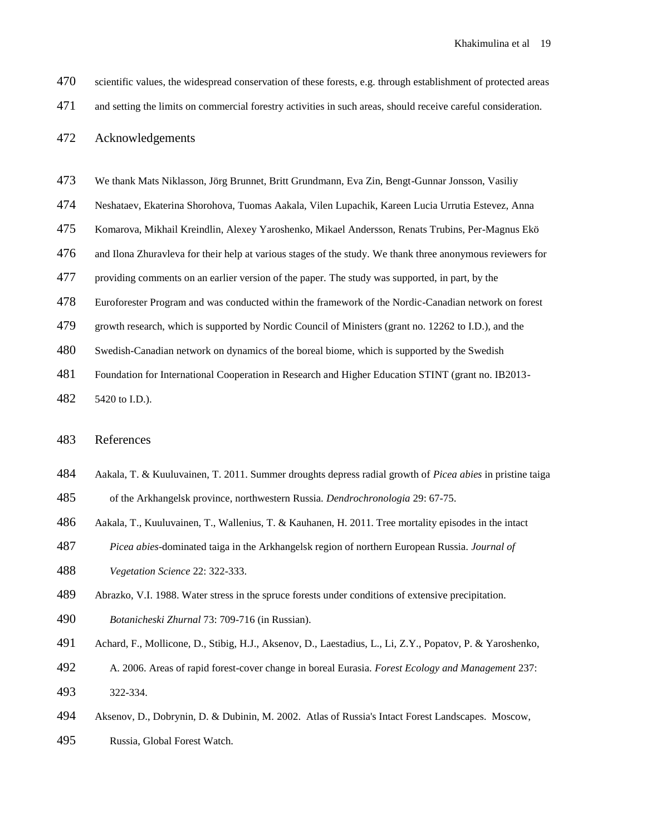| U scientific values, the widespread conservation of these forests, e.g. through establishment of protected arear | 470 |  |  |  |  |  |  |  |  |  |
|------------------------------------------------------------------------------------------------------------------|-----|--|--|--|--|--|--|--|--|--|
|------------------------------------------------------------------------------------------------------------------|-----|--|--|--|--|--|--|--|--|--|

and setting the limits on commercial forestry activities in such areas, should receive careful consideration.

#### Acknowledgements

- We thank Mats Niklasson, Jörg Brunnet, Britt Grundmann, Eva Zin, Bengt-Gunnar Jonsson, Vasiliy
- Neshataev, Ekaterina Shorohova, Tuomas Aakala, Vilen Lupachik, Kareen Lucia Urrutia Estevez, Anna
- Komarova, Mikhail Kreindlin, Alexey Yaroshenko, Mikael Andersson, Renats Trubins, Per-Magnus Ekö
- and Ilona Zhuravleva for their help at various stages of the study. We thank three anonymous reviewers for
- providing comments on an earlier version of the paper. The study was supported, in part, by the
- Euroforester Program and was conducted within the framework of the Nordic-Canadian network on forest
- growth research, which is supported by Nordic Council of Ministers (grant no. 12262 to I.D.), and the
- Swedish-Canadian network on dynamics of the boreal biome, which is supported by the Swedish
- Foundation for International Cooperation in Research and Higher Education STINT (grant no. IB2013-
- 5420 to I.D.).

### References

- Aakala, T. & Kuuluvainen, T. 2011. Summer droughts depress radial growth of *Picea abies* in pristine taiga
- of the Arkhangelsk province, northwestern Russia. *Dendrochronologia* 29: 67-75.
- Aakala, T., Kuuluvainen, T., Wallenius, T. & Kauhanen, H. 2011. Tree mortality episodes in the intact
- *Picea abies*-dominated taiga in the Arkhangelsk region of northern European Russia. *Journal of*
- *Vegetation Science* 22: 322-333.
- Abrazko, V.I. 1988. Water stress in the spruce forests under conditions of extensive precipitation.
- *Botanicheski Zhurnal* 73: 709-716 (in Russian).
- Achard, F., Mollicone, D., Stibig, H.J., Aksenov, D., Laestadius, L., Li, Z.Y., Popatov, P. & Yaroshenko,
- A. 2006. Areas of rapid forest-cover change in boreal Eurasia. *Forest Ecology and Management* 237: 322-334.
- Aksenov, D., Dobrynin, D. & Dubinin, M. 2002. Atlas of Russia's Intact Forest Landscapes. Moscow,
- Russia, Global Forest Watch.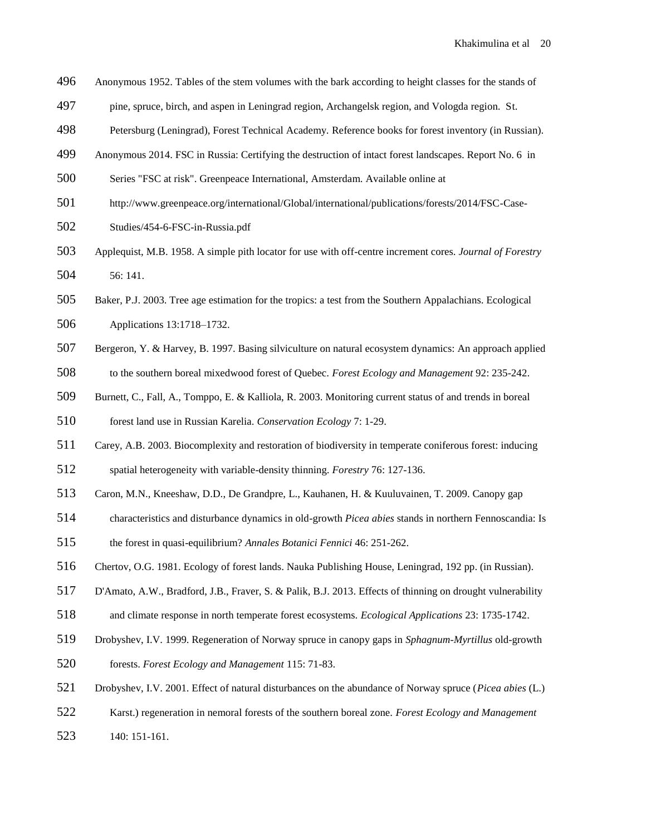- Anonymous 1952. Tables of the stem volumes with the bark according to height classes for the stands of
- pine, spruce, birch, and aspen in Leningrad region, Archangelsk region, and Vologda region. St.
- Petersburg (Leningrad), Forest Technical Academy. Reference books for forest inventory (in Russian).
- Anonymous 2014. FSC in Russia: Certifying the destruction of intact forest landscapes. Report No. 6 in
- Series "FSC at risk". Greenpeace International, Amsterdam. Available online at
- http://www.greenpeace.org/international/Global/international/publications/forests/2014/FSC-Case-
- Studies/454-6-FSC-in-Russia.pdf
- Applequist, M.B. 1958. A simple pith locator for use with off-centre increment cores. *Journal of Forestry* 56: 141.
- Baker, P.J. 2003. Tree age estimation for the tropics: a test from the Southern Appalachians. Ecological Applications 13:1718–1732.
- Bergeron, Y. & Harvey, B. 1997. Basing silviculture on natural ecosystem dynamics: An approach applied
- to the southern boreal mixedwood forest of Quebec. *Forest Ecology and Management* 92: 235-242.
- Burnett, C., Fall, A., Tomppo, E. & Kalliola, R. 2003. Monitoring current status of and trends in boreal

forest land use in Russian Karelia. *Conservation Ecology* 7: 1-29.

Carey, A.B. 2003. Biocomplexity and restoration of biodiversity in temperate coniferous forest: inducing

spatial heterogeneity with variable-density thinning. *Forestry* 76: 127-136.

- Caron, M.N., Kneeshaw, D.D., De Grandpre, L., Kauhanen, H. & Kuuluvainen, T. 2009. Canopy gap
- characteristics and disturbance dynamics in old-growth *Picea abies* stands in northern Fennoscandia: Is
- the forest in quasi-equilibrium? *Annales Botanici Fennici* 46: 251-262.
- Chertov, O.G. 1981. Ecology of forest lands. Nauka Publishing House, Leningrad, 192 pp. (in Russian).
- D'Amato, A.W., Bradford, J.B., Fraver, S. & Palik, B.J. 2013. Effects of thinning on drought vulnerability
- and climate response in north temperate forest ecosystems. *Ecological Applications* 23: 1735-1742.
- Drobyshev, I.V. 1999. Regeneration of Norway spruce in canopy gaps in *Sphagnum-Myrtillus* old-growth
- forests. *Forest Ecology and Management* 115: 71-83.
- Drobyshev, I.V. 2001. Effect of natural disturbances on the abundance of Norway spruce (*Picea abies* (L.)
- Karst.) regeneration in nemoral forests of the southern boreal zone. *Forest Ecology and Management*

140: 151-161.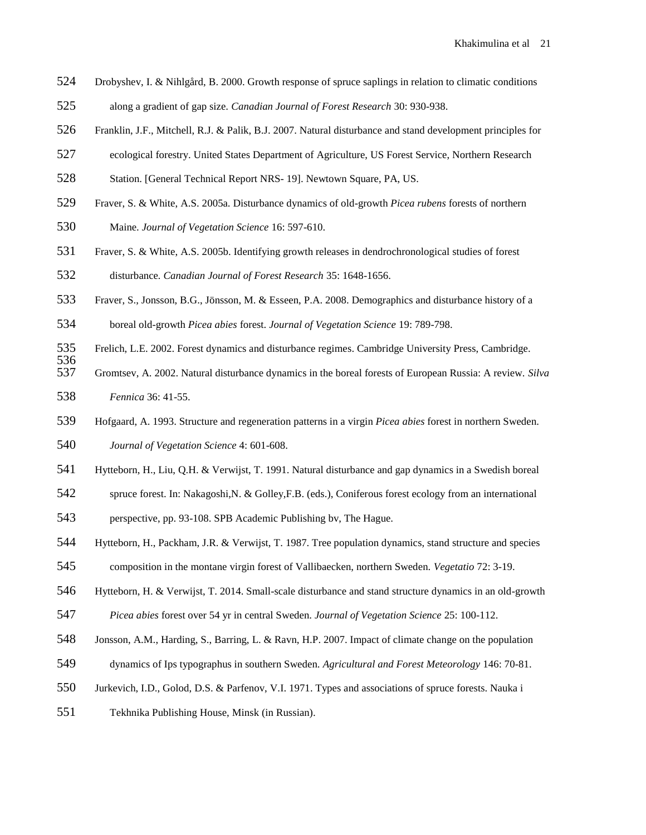- Drobyshev, I. & Nihlgård, B. 2000. Growth response of spruce saplings in relation to climatic conditions
- along a gradient of gap size. *Canadian Journal of Forest Research* 30: 930-938.
- Franklin, J.F., Mitchell, R.J. & Palik, B.J. 2007. Natural disturbance and stand development principles for
- ecological forestry. United States Department of Agriculture, US Forest Service, Northern Research
- Station. [General Technical Report NRS- 19]. Newtown Square, PA, US.
- Fraver, S. & White, A.S. 2005a. Disturbance dynamics of old-growth *Picea rubens* forests of northern
- Maine. *Journal of Vegetation Science* 16: 597-610.
- Fraver, S. & White, A.S. 2005b. Identifying growth releases in dendrochronological studies of forest

disturbance*. Canadian Journal of Forest Research* 35: 1648-1656.

Fraver, S., Jonsson, B.G., Jönsson, M. & Esseen, P.A. 2008. Demographics and disturbance history of a

boreal old-growth *Picea abies* forest. *Journal of Vegetation Science* 19: 789-798.

- Frelich, L.E. 2002. Forest dynamics and disturbance regimes. Cambridge University Press, Cambridge.
- 536<br>537 Gromtsev, A. 2002. Natural disturbance dynamics in the boreal forests of European Russia: A review. *Silva Fennica* 36: 41-55.
- Hofgaard, A. 1993. Structure and regeneration patterns in a virgin *Picea abies* forest in northern Sweden.
- *Journal of Vegetation Science* 4: 601-608.
- Hytteborn, H., Liu, Q.H. & Verwijst, T. 1991. Natural disturbance and gap dynamics in a Swedish boreal
- spruce forest. In: Nakagoshi,N. & Golley,F.B. (eds.), Coniferous forest ecology from an international
- perspective, pp. 93-108. SPB Academic Publishing bv, The Hague.
- Hytteborn, H., Packham, J.R. & Verwijst, T. 1987. Tree population dynamics, stand structure and species
- composition in the montane virgin forest of Vallibaecken, northern Sweden. *Vegetatio* 72: 3-19.
- Hytteborn, H. & Verwijst, T. 2014. Small-scale disturbance and stand structure dynamics in an old-growth
- *Picea abies* forest over 54 yr in central Sweden. *Journal of Vegetation Science* 25: 100-112.
- Jonsson, A.M., Harding, S., Barring, L. & Ravn, H.P. 2007. Impact of climate change on the population
- dynamics of Ips typographus in southern Sweden. *Agricultural and Forest Meteorology* 146: 70-81.
- Jurkevich, I.D., Golod, D.S. & Parfenov, V.I. 1971. Types and associations of spruce forests. Nauka i
- Tekhnika Publishing House, Minsk (in Russian).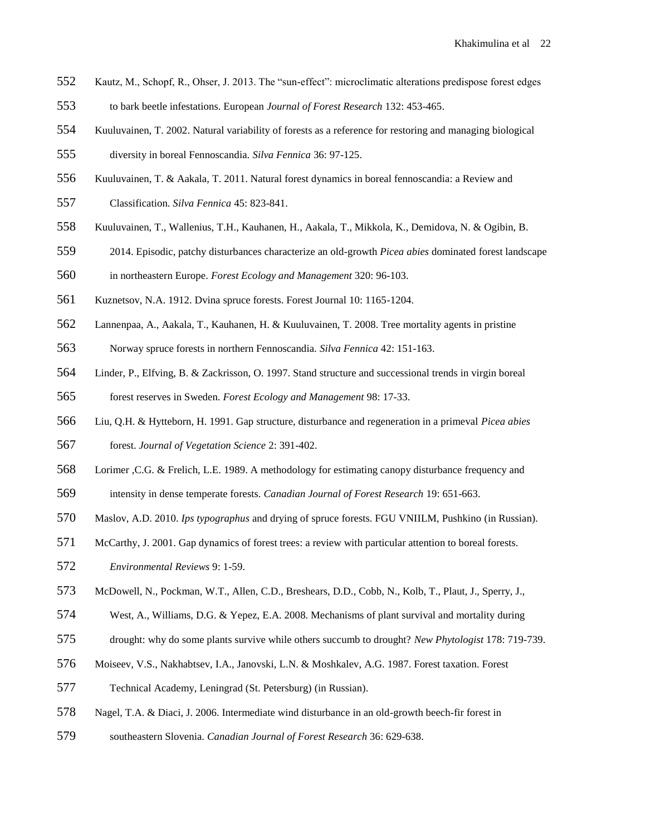- Kautz, M., Schopf, R., Ohser, J. 2013. The "sun-effect": microclimatic alterations predispose forest edges
- to bark beetle infestations. European *Journal of Forest Research* 132: 453-465.
- Kuuluvainen, T. 2002. Natural variability of forests as a reference for restoring and managing biological
- diversity in boreal Fennoscandia. *Silva Fennica* 36: 97-125.
- Kuuluvainen, T. & Aakala, T. 2011. Natural forest dynamics in boreal fennoscandia: a Review and
- Classification. *Silva Fennica* 45: 823-841.
- Kuuluvainen, T., Wallenius, T.H., Kauhanen, H., Aakala, T., Mikkola, K., Demidova, N. & Ogibin, B.
- 2014. Episodic, patchy disturbances characterize an old-growth *Picea abies* dominated forest landscape
- in northeastern Europe. *Forest Ecology and Management* 320: 96-103.
- Kuznetsov, N.A. 1912. Dvina spruce forests. Forest Journal 10: 1165-1204.
- Lannenpaa, A., Aakala, T., Kauhanen, H. & Kuuluvainen, T. 2008. Tree mortality agents in pristine
- Norway spruce forests in northern Fennoscandia. *Silva Fennica* 42: 151-163.
- Linder, P., Elfving, B. & Zackrisson, O. 1997. Stand structure and successional trends in virgin boreal forest reserves in Sweden. *Forest Ecology and Management* 98: 17-33.
- Liu, Q.H. & Hytteborn, H. 1991. Gap structure, disturbance and regeneration in a primeval *Picea abies* forest. *Journal of Vegetation Science* 2: 391-402.
- Lorimer ,C.G. & Frelich, L.E. 1989. A methodology for estimating canopy disturbance frequency and
- intensity in dense temperate forests. *Canadian Journal of Forest Research* 19: 651-663.
- Maslov, A.D. 2010. *Ips typographus* and drying of spruce forests. FGU VNIILM, Pushkino (in Russian).
- McCarthy, J. 2001. Gap dynamics of forest trees: a review with particular attention to boreal forests.
- *Environmental Reviews* 9: 1-59.
- McDowell, N., Pockman, W.T., Allen, C.D., Breshears, D.D., Cobb, N., Kolb, T., Plaut, J., Sperry, J.,
- West, A., Williams, D.G. & Yepez, E.A. 2008. Mechanisms of plant survival and mortality during
- drought: why do some plants survive while others succumb to drought? *New Phytologist* 178: 719-739.
- Moiseev, V.S., Nakhabtsev, I.A., Janovski, L.N. & Moshkalev, A.G. 1987. Forest taxation. Forest
- Technical Academy, Leningrad (St. Petersburg) (in Russian).
- Nagel, T.A. & Diaci, J. 2006. Intermediate wind disturbance in an old-growth beech-fir forest in
- southeastern Slovenia. *Canadian Journal of Forest Research* 36: 629-638.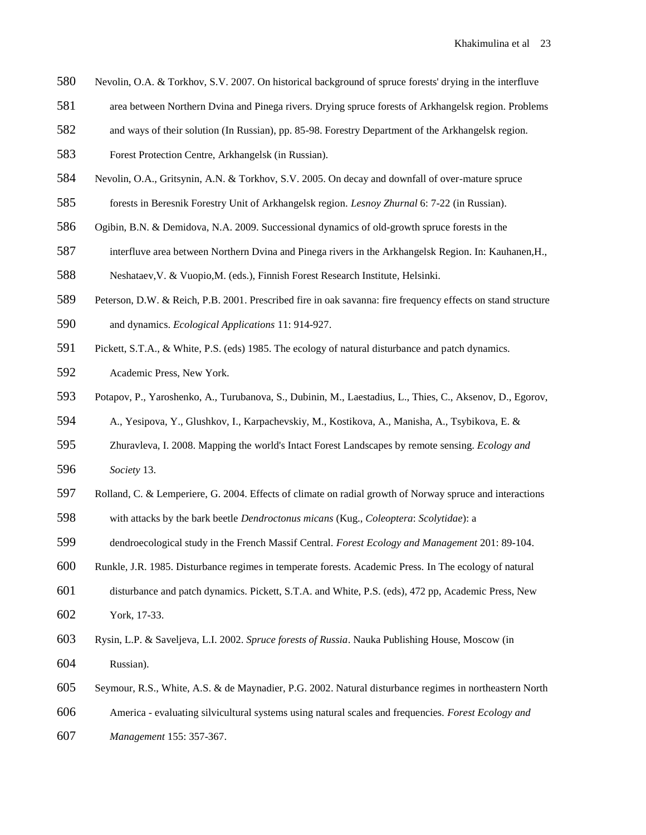- Nevolin, O.A. & Torkhov, S.V. 2007. On historical background of spruce forests' drying in the interfluve
- area between Northern Dvina and Pinega rivers. Drying spruce forests of Arkhangelsk region. Problems
- and ways of their solution (In Russian), pp. 85-98. Forestry Department of the Arkhangelsk region.
- Forest Protection Centre, Arkhangelsk (in Russian).
- Nevolin, O.A., Gritsynin, A.N. & Torkhov, S.V. 2005. On decay and downfall of over-mature spruce
- forests in Beresnik Forestry Unit of Arkhangelsk region. *Lesnoy Zhurnal* 6: 7-22 (in Russian).
- Ogibin, B.N. & Demidova, N.A. 2009. Successional dynamics of old-growth spruce forests in the
- interfluve area between Northern Dvina and Pinega rivers in the Arkhangelsk Region. In: Kauhanen,H.,
- Neshataev,V. & Vuopio,M. (eds.), Finnish Forest Research Institute, Helsinki.
- Peterson, D.W. & Reich, P.B. 2001. Prescribed fire in oak savanna: fire frequency effects on stand structure and dynamics. *Ecological Applications* 11: 914-927.
- Pickett, S.T.A., & White, P.S. (eds) 1985. The ecology of natural disturbance and patch dynamics.
- Academic Press, New York.
- Potapov, P., Yaroshenko, A., Turubanova, S., Dubinin, M., Laestadius, L., Thies, C., Aksenov, D., Egorov,
- A., Yesipova, Y., Glushkov, I., Karpachevskiy, M., Kostikova, A., Manisha, A., Tsybikova, E. &
- Zhuravleva, I. 2008. Mapping the world's Intact Forest Landscapes by remote sensing. *Ecology and*
- *Society* 13.
- Rolland, C. & Lemperiere, G. 2004. Effects of climate on radial growth of Norway spruce and interactions
- with attacks by the bark beetle *Dendroctonus micans* (Kug., *Coleoptera*: *Scolytidae*): a
- dendroecological study in the French Massif Central. *Forest Ecology and Management* 201: 89-104.
- Runkle, J.R. 1985. Disturbance regimes in temperate forests. Academic Press. In The ecology of natural
- disturbance and patch dynamics. Pickett, S.T.A. and White, P.S. (eds), 472 pp, Academic Press, New
- York, 17-33.
- Rysin, L.P. & Saveljeva, L.I. 2002. *Spruce forests of Russia*. Nauka Publishing House, Moscow (in
- Russian).
- Seymour, R.S., White, A.S. & de Maynadier, P.G. 2002. Natural disturbance regimes in northeastern North
- America evaluating silvicultural systems using natural scales and frequencies. *Forest Ecology and*
- *Management* 155: 357-367.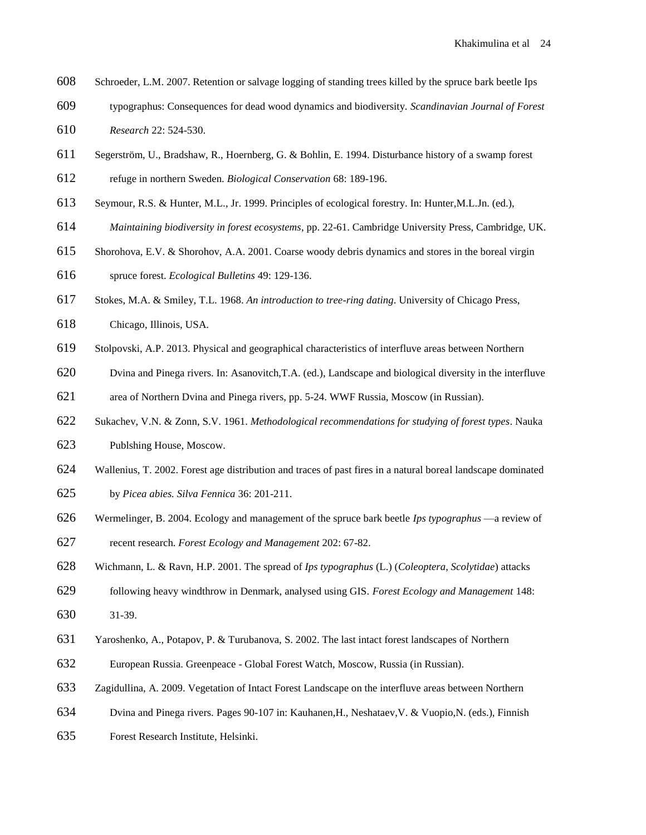- Schroeder, L.M. 2007. Retention or salvage logging of standing trees killed by the spruce bark beetle Ips
- typographus: Consequences for dead wood dynamics and biodiversity. *Scandinavian Journal of Forest*
- *Research* 22: 524-530.
- Segerström, U., Bradshaw, R., Hoernberg, G. & Bohlin, E. 1994. Disturbance history of a swamp forest
- refuge in northern Sweden. *Biological Conservation* 68: 189-196.
- Seymour, R.S. & Hunter, M.L., Jr. 1999. Principles of ecological forestry. In: Hunter,M.L.Jn. (ed.),
- *Maintaining biodiversity in forest ecosystems*, pp. 22-61. Cambridge University Press, Cambridge, UK.
- Shorohova, E.V. & Shorohov, A.A. 2001. Coarse woody debris dynamics and stores in the boreal virgin
- spruce forest. *Ecological Bulletins* 49: 129-136.
- Stokes, M.A. & Smiley, T.L. 1968. *An introduction to tree-ring dating*. University of Chicago Press,
- Chicago, Illinois, USA.
- Stolpovski, A.P. 2013. Physical and geographical characteristics of interfluve areas between Northern
- Dvina and Pinega rivers. In: Asanovitch,T.A. (ed.), Landscape and biological diversity in the interfluve
- area of Northern Dvina and Pinega rivers, pp. 5-24. WWF Russia, Moscow (in Russian).
- Sukachev, V.N. & Zonn, S.V. 1961. *Methodological recommendations for studying of forest types*. Nauka
- Publshing House, Moscow.
- Wallenius, T. 2002. Forest age distribution and traces of past fires in a natural boreal landscape dominated
- by *Picea abies. Silva Fennica* 36: 201-211.
- Wermelinger, B. 2004. Ecology and management of the spruce bark beetle *Ips typographus* —a review of
- recent research. *Forest Ecology and Management* 202: 67-82.
- Wichmann, L. & Ravn, H.P. 2001. The spread of *Ips typographus* (L.) (*Coleoptera*, *Scolytidae*) attacks
- following heavy windthrow in Denmark, analysed using GIS. *Forest Ecology and Management* 148: 31-39.
- 
- Yaroshenko, A., Potapov, P. & Turubanova, S. 2002. The last intact forest landscapes of Northern
- European Russia. Greenpeace Global Forest Watch, Moscow, Russia (in Russian).
- Zagidullina, A. 2009. Vegetation of Intact Forest Landscape on the interfluve areas between Northern
- Dvina and Pinega rivers. Pages 90-107 in: Kauhanen,H., Neshataev,V. & Vuopio,N. (eds.), Finnish
- Forest Research Institute, Helsinki.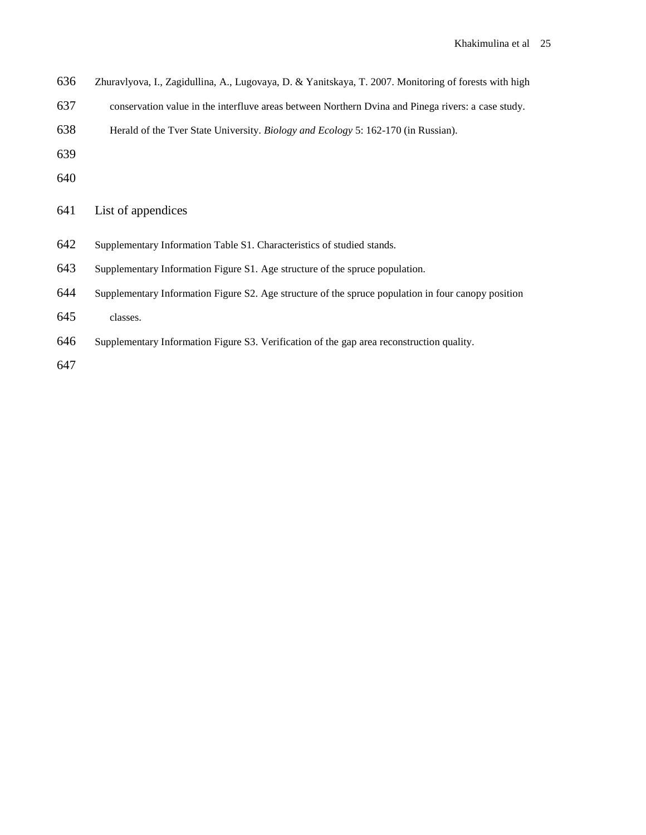- Zhuravlyova, I., Zagidullina, A., Lugovaya, D. & Yanitskaya, T. 2007. Monitoring of forests with high
- conservation value in the interfluve areas between Northern Dvina and Pinega rivers: a case study.
- Herald of the Tver State University. *Biology and Ecology* 5: 162-170 (in Russian).

List of appendices

- Supplementary Information Table S1. Characteristics of studied stands.
- Supplementary Information Figure S1. Age structure of the spruce population.
- Supplementary Information Figure S2. Age structure of the spruce population in four canopy position
- classes.
- Supplementary Information Figure S3. Verification of the gap area reconstruction quality.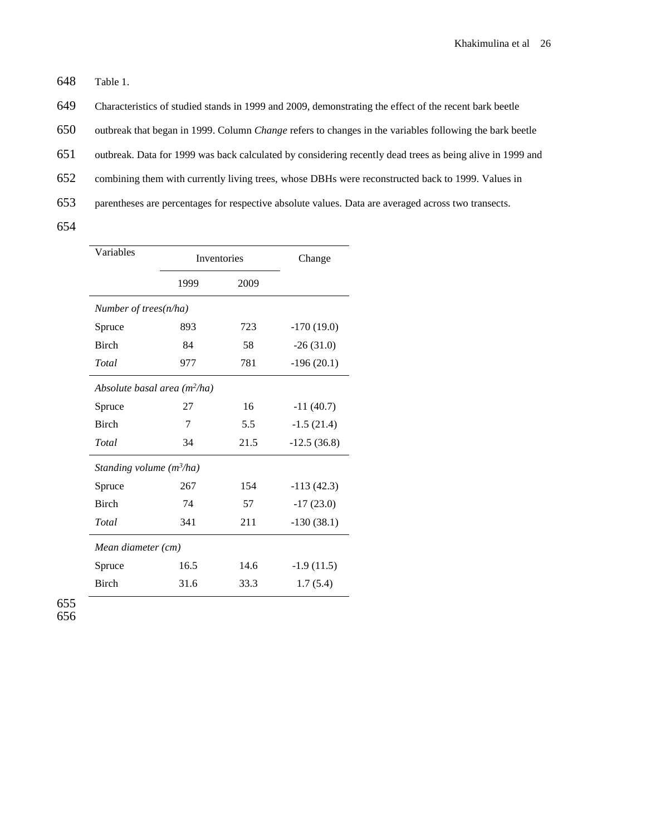648 Table 1.

649 Characteristics of studied stands in 1999 and 2009, demonstrating the effect of the recent bark beetle

650 outbreak that began in 1999. Column *Change* refers to changes in the variables following the bark beetle

651 outbreak. Data for 1999 was back calculated by considering recently dead trees as being alive in 1999 and

652 combining them with currently living trees, whose DBHs were reconstructed back to 1999. Values in

653 parentheses are percentages for respective absolute values. Data are averaged across two transects.

654

| Variables                            | Inventories | Change |                             |  |  |  |  |
|--------------------------------------|-------------|--------|-----------------------------|--|--|--|--|
|                                      | 1999        | 2009   |                             |  |  |  |  |
| Number of trees $(n/ha)$             |             |        |                             |  |  |  |  |
| Spruce                               | 893         | 723    | $-170(19.0)$                |  |  |  |  |
| <b>Birch</b>                         | 84          | 58     | $-26(31.0)$                 |  |  |  |  |
| Total                                | 977         | 781    | $-196(20.1)$                |  |  |  |  |
| Absolute basal area $(m^2/ha)$       |             |        |                             |  |  |  |  |
| Spruce                               | 27          | 16     | $-11(40.7)$<br>$-1.5(21.4)$ |  |  |  |  |
| <b>Birch</b>                         | 7           | 5.5    |                             |  |  |  |  |
| Total                                | 34          | 21.5   | $-12.5(36.8)$               |  |  |  |  |
| Standing volume (m <sup>3</sup> /ha) |             |        |                             |  |  |  |  |
| Spruce                               | 267         | 154    | $-113(42.3)$                |  |  |  |  |
| <b>Birch</b>                         | 74          | 57     | $-17(23.0)$                 |  |  |  |  |
| Total                                | 341         | 211    | $-130(38.1)$                |  |  |  |  |
| Mean diameter (cm)                   |             |        |                             |  |  |  |  |
| Spruce                               | 16.5        | 14.6   | $-1.9(11.5)$                |  |  |  |  |
| <b>Birch</b>                         | 31.6        | 33.3   | 1.7(5.4)                    |  |  |  |  |
|                                      |             |        |                             |  |  |  |  |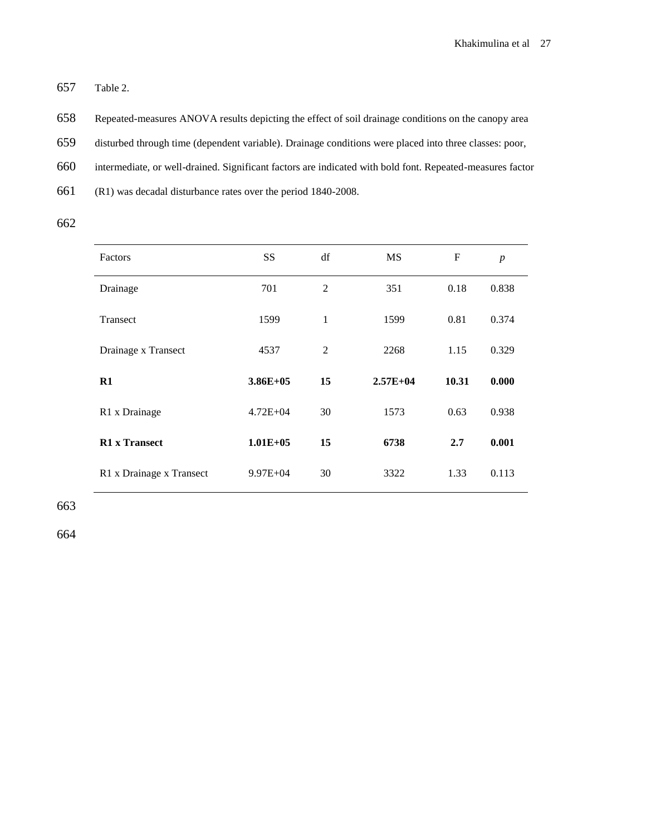657 Table 2.

 Repeated-measures ANOVA results depicting the effect of soil drainage conditions on the canopy area disturbed through time (dependent variable). Drainage conditions were placed into three classes: poor, intermediate, or well-drained. Significant factors are indicated with bold font. Repeated-measures factor (R1) was decadal disturbance rates over the period 1840-2008.

| Factors                  | <b>SS</b>     | df | <b>MS</b>    | $\mathbf{F}$ | $\boldsymbol{p}$ |
|--------------------------|---------------|----|--------------|--------------|------------------|
| Drainage                 | 701           | 2  | 351          | 0.18         | 0.838            |
| Transect                 | 1599          | 1  | 1599         | 0.81         | 0.374            |
| Drainage x Transect      | 4537          | 2  | 2268         | 1.15         | 0.329            |
| $\mathbf{R}1$            | $3.86E + 05$  | 15 | $2.57E + 04$ | 10.31        | 0.000            |
| R1 x Drainage            | $4.72E + 04$  | 30 | 1573         | 0.63         | 0.938            |
| <b>R1</b> x Transect     | $1.01E + 0.5$ | 15 | 6738         | 2.7          | 0.001            |
| R1 x Drainage x Transect | $9.97E + 04$  | 30 | 3322         | 1.33         | 0.113            |

663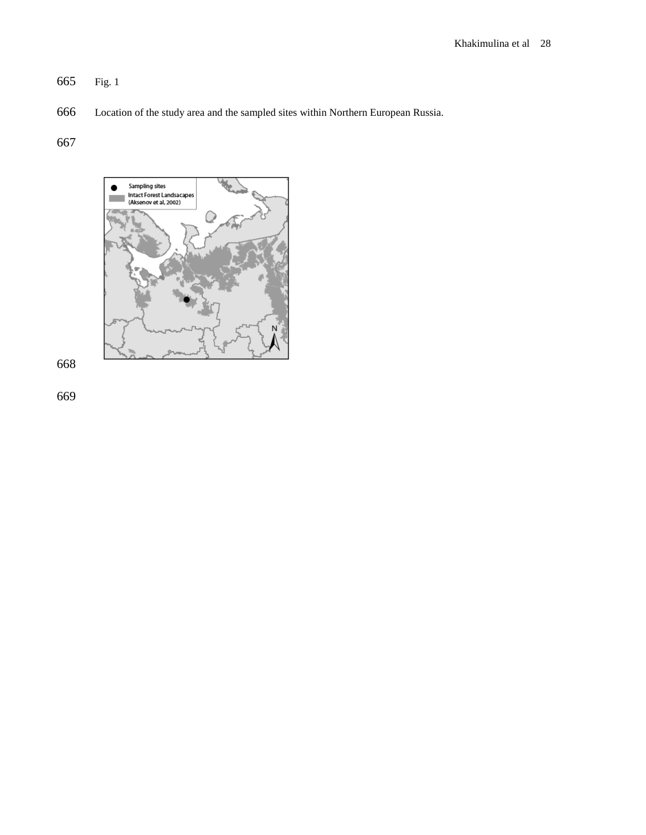- Fig. 1
- Location of the study area and the sampled sites within Northern European Russia.

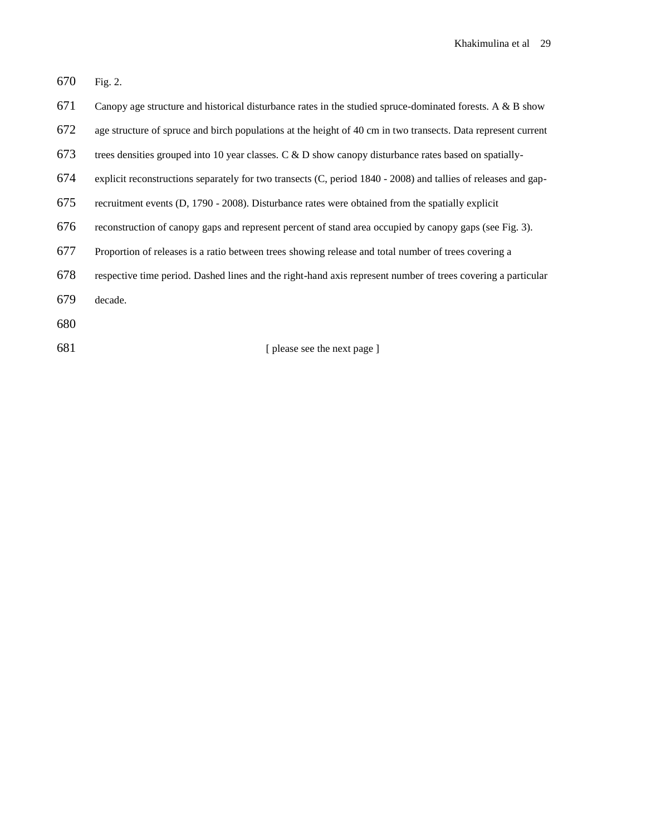| 670 | Fig. 2. |  |
|-----|---------|--|
|     |         |  |

- Canopy age structure and historical disturbance rates in the studied spruce-dominated forests. A & B show
- age structure of spruce and birch populations at the height of 40 cm in two transects. Data represent current
- 673 trees densities grouped into 10 year classes. C  $\&$  D show canopy disturbance rates based on spatially-
- explicit reconstructions separately for two transects (C, period 1840 2008) and tallies of releases and gap-
- recruitment events (D, 1790 2008). Disturbance rates were obtained from the spatially explicit
- reconstruction of canopy gaps and represent percent of stand area occupied by canopy gaps (see Fig. 3).
- Proportion of releases is a ratio between trees showing release and total number of trees covering a
- respective time period. Dashed lines and the right-hand axis represent number of trees covering a particular
- decade.
- 
- 

681 [ please see the next page ]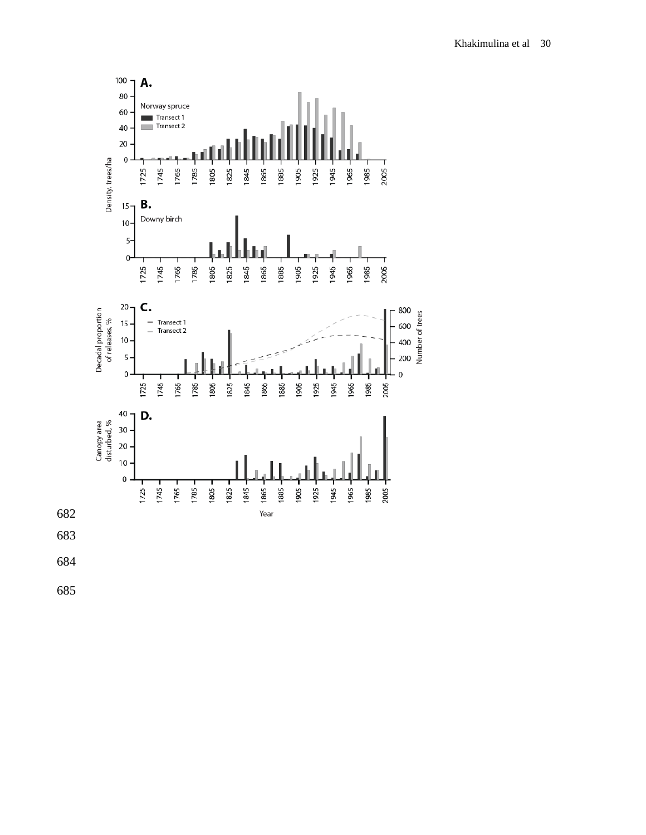

- 
-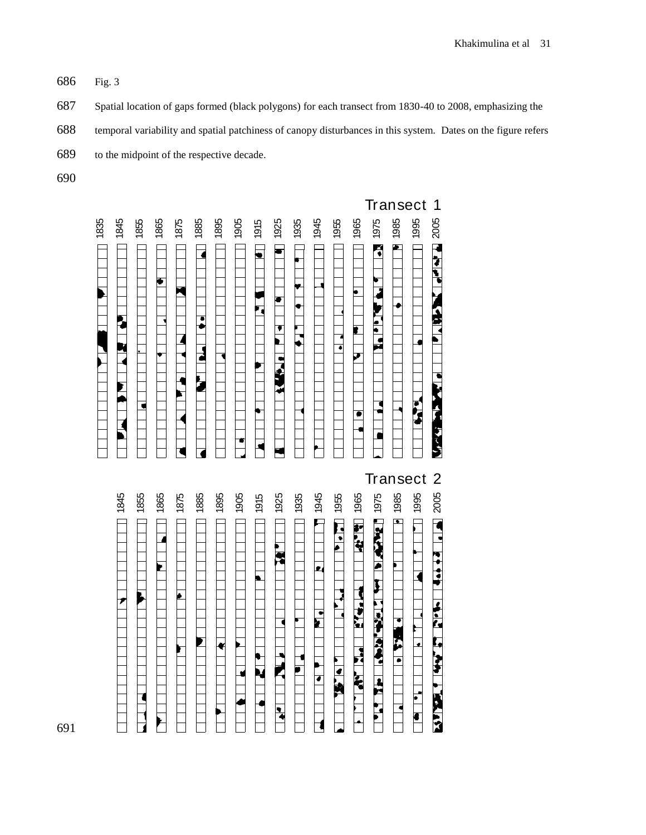Fig. 3

Spatial location of gaps formed (black polygons) for each transect from 1830-40 to 2008, emphasizing the

temporal variability and spatial patchiness of canopy disturbances in this system. Dates on the figure refers

to the midpoint of the respective decade.

|      |      |           | to the midpoint of the respective decade. |      |           |      |      |      |                         |           |                      |                       |                     |                                         |                               |                 |                                            |
|------|------|-----------|-------------------------------------------|------|-----------|------|------|------|-------------------------|-----------|----------------------|-----------------------|---------------------|-----------------------------------------|-------------------------------|-----------------|--------------------------------------------|
|      |      |           |                                           |      |           |      |      |      |                         |           |                      |                       |                     |                                         |                               | <b>Transect</b> | $\overline{\mathbf{1}}$                    |
| 1835 | 1845 | 1855<br>с | 1865                                      | 1875 | 1885<br>۰ | 1895 | 1905 | 1915 | 1925<br>♥               | 1935<br>Ψ | 1945                 | 1955<br>$\frac{1}{2}$ | 1965<br>r<br>7<br>۰ | 1975<br>$\overline{\bullet}$<br>Ferrari | 1985<br>$\blacksquare$        | 1995            | 2005<br>$\frac{1}{2}$<br><b>THIS EXIST</b> |
|      |      |           |                                           |      |           |      |      |      |                         |           |                      |                       |                     |                                         |                               | <b>Transect</b> | $\mathbf{2}$                               |
|      | 1845 | 1855      | 1865                                      | 1875 | 1885      | 1895 | 1905 | 1915 | 1925                    | 1935      | 1945                 | 1955                  | 1965                | 1975                                    | 1985<br>$\blacktriangleright$ | 1995            | 2005                                       |
|      |      |           |                                           |      |           |      |      |      |                         |           |                      | <u>rier</u>           | <b>3'<br/>N</b>     | <b>Tarkit</b>                           |                               |                 |                                            |
|      |      |           |                                           |      |           |      |      |      |                         |           | Ŀ,                   |                       |                     |                                         |                               |                 |                                            |
|      | t    |           |                                           |      |           |      |      |      |                         |           | $\bullet$            |                       | <b>EYEL</b>         |                                         |                               |                 | $\frac{1}{2}$                              |
|      |      |           |                                           |      |           |      |      |      |                         |           | F                    |                       |                     |                                         |                               |                 |                                            |
|      |      |           |                                           |      |           |      |      |      |                         |           | $\frac{1}{\epsilon}$ | <b>TAN ALL</b>        | TAY MA              | <b>FIRENT HET P</b>                     | <b>EXAMPLE</b>                |                 | 12.44 , 124.42                             |
|      |      |           |                                           |      |           |      |      |      |                         |           |                      |                       |                     |                                         |                               | $\blacksquare$  |                                            |
|      |      |           |                                           |      |           |      |      |      | $\overline{\mathbf{F}}$ |           |                      |                       |                     |                                         | A                             |                 |                                            |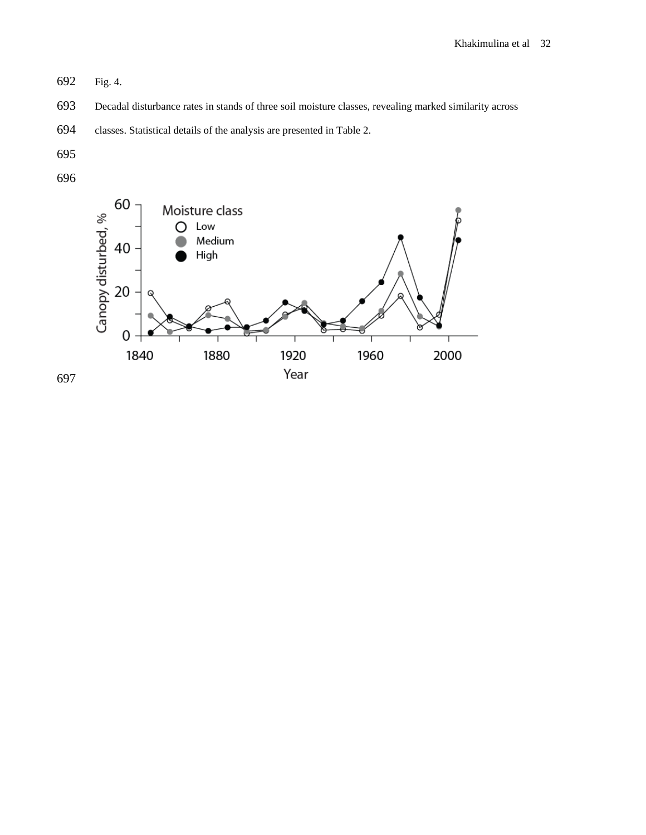- Fig. 4.
- Decadal disturbance rates in stands of three soil moisture classes, revealing marked similarity across
- classes. Statistical details of the analysis are presented in Table 2.
- 
-